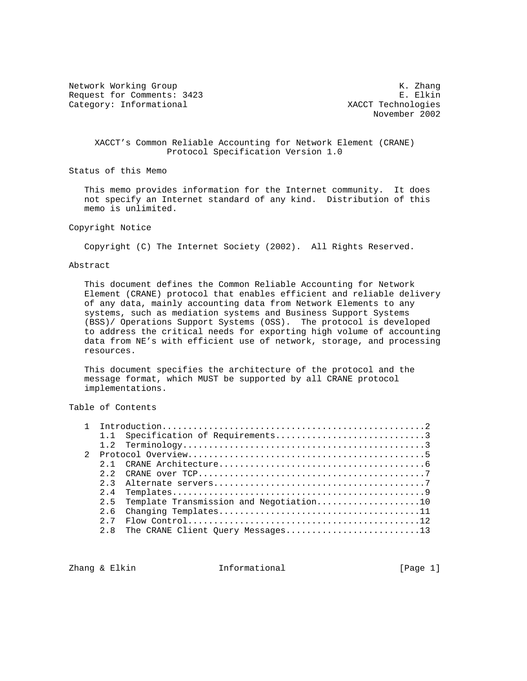Network Working Group<br>Request for Comments: 3423 E. Elkin Request for Comments: 3423 E. Elkin<br>Category: Informational and E. Elkin Category: Informational Category: Informational

November 2002

### XACCT's Common Reliable Accounting for Network Element (CRANE) Protocol Specification Version 1.0

Status of this Memo

 This memo provides information for the Internet community. It does not specify an Internet standard of any kind. Distribution of this memo is unlimited.

Copyright Notice

Copyright (C) The Internet Society (2002). All Rights Reserved.

### Abstract

 This document defines the Common Reliable Accounting for Network Element (CRANE) protocol that enables efficient and reliable delivery of any data, mainly accounting data from Network Elements to any systems, such as mediation systems and Business Support Systems (BSS)/ Operations Support Systems (OSS). The protocol is developed to address the critical needs for exporting high volume of accounting data from NE's with efficient use of network, storage, and processing resources.

 This document specifies the architecture of the protocol and the message format, which MUST be supported by all CRANE protocol implementations.

# Table of Contents

| $\mathcal{D}$ |                |                                                                                                             |
|---------------|----------------|-------------------------------------------------------------------------------------------------------------|
|               |                |                                                                                                             |
|               | 22             | CRANE over $TCP \ldots \ldots \ldots \ldots \ldots \ldots \ldots \ldots \ldots \ldots \ldots \ldots \ldots$ |
|               | つ っ            |                                                                                                             |
|               | 24             |                                                                                                             |
|               | 2 <sub>5</sub> | Template Transmission and Negotiation10                                                                     |
|               | 26             |                                                                                                             |
|               | 27             |                                                                                                             |
|               |                | 2.8 The CRANE Client Query Messages13                                                                       |

Zhang & Elkin Informational [Page 1]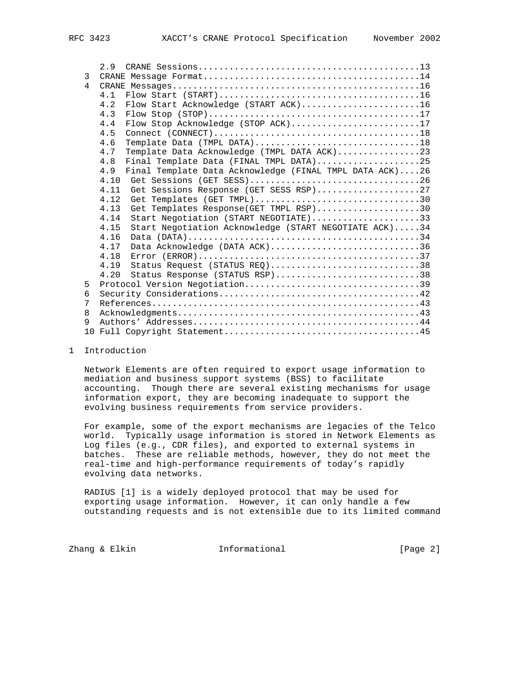|   | 2.9                                                            |
|---|----------------------------------------------------------------|
| 3 |                                                                |
| 4 |                                                                |
|   | 4 1                                                            |
|   | Flow Start Acknowledge (START ACK)16<br>4.2                    |
|   | 4.3                                                            |
|   | Flow Stop Acknowledge (STOP ACK)17<br>4.4                      |
|   | 4.5                                                            |
|   | Template Data (TMPL DATA)18<br>4.6                             |
|   | Template Data Acknowledge (TMPL DATA ACK)23<br>4.7             |
|   | 4.8<br>Final Template Data (FINAL TMPL DATA)25                 |
|   | 4.9<br>Final Template Data Acknowledge (FINAL TMPL DATA ACK)26 |
|   | 4.10                                                           |
|   | Get Sessions Response (GET SESS RSP)27<br>4.11                 |
|   | Get Templates (GET TMPL)30<br>4.12                             |
|   | Get Templates Response(GET TMPL RSP)30<br>4.13                 |
|   | Start Negotiation (START NEGOTIATE)33<br>4.14                  |
|   | Start Negotiation Acknowledge (START NEGOTIATE ACK)34<br>4.15  |
|   | 4.16                                                           |
|   | Data Acknowledge (DATA ACK)36<br>4.17                          |
|   | 4.18                                                           |
|   | 4.19<br>Status Request (STATUS REO)38                          |
|   | Status Response (STATUS RSP)38<br>4.20                         |
| 5 | Protocol Version Negotiation39                                 |
| 6 |                                                                |
| 7 |                                                                |
| 8 |                                                                |
| 9 |                                                                |
|   |                                                                |

# 1 Introduction

 Network Elements are often required to export usage information to mediation and business support systems (BSS) to facilitate accounting. Though there are several existing mechanisms for usage information export, they are becoming inadequate to support the evolving business requirements from service providers.

 For example, some of the export mechanisms are legacies of the Telco world. Typically usage information is stored in Network Elements as Log files (e.g., CDR files), and exported to external systems in batches. These are reliable methods, however, they do not meet the real-time and high-performance requirements of today's rapidly evolving data networks.

 RADIUS [1] is a widely deployed protocol that may be used for exporting usage information. However, it can only handle a few outstanding requests and is not extensible due to its limited command

Zhang & Elkin **Informational Informational** [Page 2]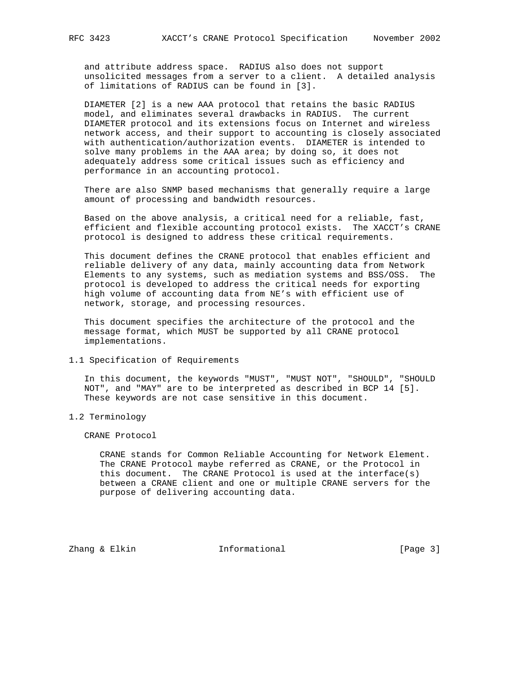and attribute address space. RADIUS also does not support unsolicited messages from a server to a client. A detailed analysis of limitations of RADIUS can be found in [3].

 DIAMETER [2] is a new AAA protocol that retains the basic RADIUS model, and eliminates several drawbacks in RADIUS. The current DIAMETER protocol and its extensions focus on Internet and wireless network access, and their support to accounting is closely associated with authentication/authorization events. DIAMETER is intended to solve many problems in the AAA area; by doing so, it does not adequately address some critical issues such as efficiency and performance in an accounting protocol.

 There are also SNMP based mechanisms that generally require a large amount of processing and bandwidth resources.

 Based on the above analysis, a critical need for a reliable, fast, efficient and flexible accounting protocol exists. The XACCT's CRANE protocol is designed to address these critical requirements.

 This document defines the CRANE protocol that enables efficient and reliable delivery of any data, mainly accounting data from Network Elements to any systems, such as mediation systems and BSS/OSS. The protocol is developed to address the critical needs for exporting high volume of accounting data from NE's with efficient use of network, storage, and processing resources.

 This document specifies the architecture of the protocol and the message format, which MUST be supported by all CRANE protocol implementations.

1.1 Specification of Requirements

 In this document, the keywords "MUST", "MUST NOT", "SHOULD", "SHOULD NOT", and "MAY" are to be interpreted as described in BCP 14 [5]. These keywords are not case sensitive in this document.

1.2 Terminology

CRANE Protocol

 CRANE stands for Common Reliable Accounting for Network Element. The CRANE Protocol maybe referred as CRANE, or the Protocol in this document. The CRANE Protocol is used at the interface(s) between a CRANE client and one or multiple CRANE servers for the purpose of delivering accounting data.

Zhang & Elkin Informational [Page 3]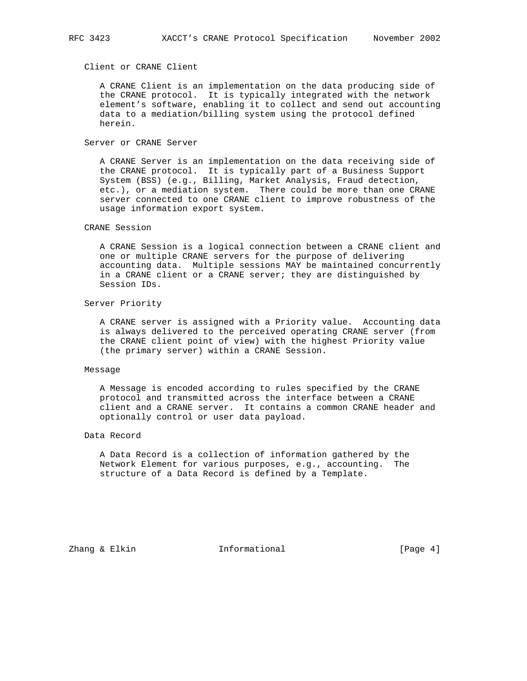# Client or CRANE Client

 A CRANE Client is an implementation on the data producing side of the CRANE protocol. It is typically integrated with the network element's software, enabling it to collect and send out accounting data to a mediation/billing system using the protocol defined herein.

### Server or CRANE Server

 A CRANE Server is an implementation on the data receiving side of the CRANE protocol. It is typically part of a Business Support System (BSS) (e.g., Billing, Market Analysis, Fraud detection, etc.), or a mediation system. There could be more than one CRANE server connected to one CRANE client to improve robustness of the usage information export system.

#### CRANE Session

 A CRANE Session is a logical connection between a CRANE client and one or multiple CRANE servers for the purpose of delivering accounting data. Multiple sessions MAY be maintained concurrently in a CRANE client or a CRANE server; they are distinguished by Session IDs.

#### Server Priority

 A CRANE server is assigned with a Priority value. Accounting data is always delivered to the perceived operating CRANE server (from the CRANE client point of view) with the highest Priority value (the primary server) within a CRANE Session.

#### Message

 A Message is encoded according to rules specified by the CRANE protocol and transmitted across the interface between a CRANE client and a CRANE server. It contains a common CRANE header and optionally control or user data payload.

# Data Record

 A Data Record is a collection of information gathered by the Network Element for various purposes, e.g., accounting. The structure of a Data Record is defined by a Template.

Zhang & Elkin  $I_n$  Informational  $[Page 4]$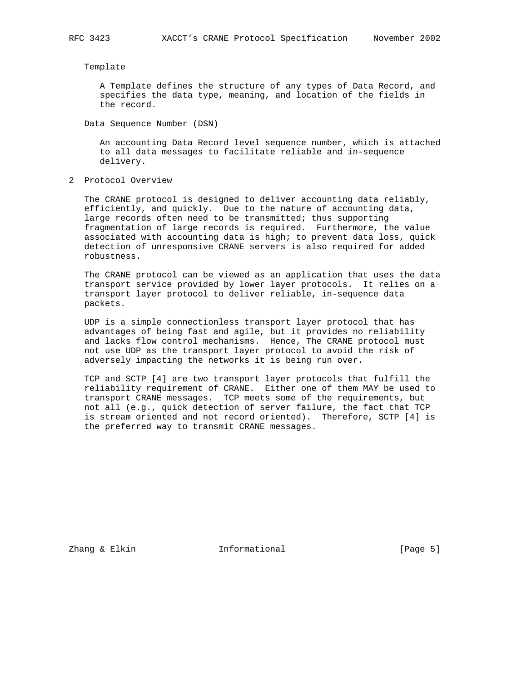Template

 A Template defines the structure of any types of Data Record, and specifies the data type, meaning, and location of the fields in the record.

Data Sequence Number (DSN)

 An accounting Data Record level sequence number, which is attached to all data messages to facilitate reliable and in-sequence delivery.

2 Protocol Overview

 The CRANE protocol is designed to deliver accounting data reliably, efficiently, and quickly. Due to the nature of accounting data, large records often need to be transmitted; thus supporting fragmentation of large records is required. Furthermore, the value associated with accounting data is high; to prevent data loss, quick detection of unresponsive CRANE servers is also required for added robustness.

 The CRANE protocol can be viewed as an application that uses the data transport service provided by lower layer protocols. It relies on a transport layer protocol to deliver reliable, in-sequence data packets.

 UDP is a simple connectionless transport layer protocol that has advantages of being fast and agile, but it provides no reliability and lacks flow control mechanisms. Hence, The CRANE protocol must not use UDP as the transport layer protocol to avoid the risk of adversely impacting the networks it is being run over.

 TCP and SCTP [4] are two transport layer protocols that fulfill the reliability requirement of CRANE. Either one of them MAY be used to transport CRANE messages. TCP meets some of the requirements, but not all (e.g., quick detection of server failure, the fact that TCP is stream oriented and not record oriented). Therefore, SCTP [4] is the preferred way to transmit CRANE messages.

Zhang & Elkin Informational [Page 5]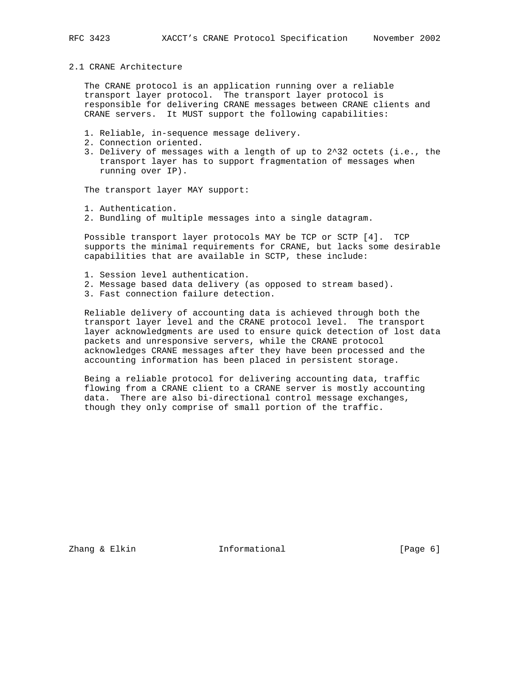# 2.1 CRANE Architecture

 The CRANE protocol is an application running over a reliable transport layer protocol. The transport layer protocol is responsible for delivering CRANE messages between CRANE clients and CRANE servers. It MUST support the following capabilities:

- 1. Reliable, in-sequence message delivery.
- 2. Connection oriented.
- 3. Delivery of messages with a length of up to 2^32 octets (i.e., the transport layer has to support fragmentation of messages when running over IP).

The transport layer MAY support:

- 1. Authentication.
- 2. Bundling of multiple messages into a single datagram.

 Possible transport layer protocols MAY be TCP or SCTP [4]. TCP supports the minimal requirements for CRANE, but lacks some desirable capabilities that are available in SCTP, these include:

- 1. Session level authentication.
- 2. Message based data delivery (as opposed to stream based).
- 3. Fast connection failure detection.

 Reliable delivery of accounting data is achieved through both the transport layer level and the CRANE protocol level. The transport layer acknowledgments are used to ensure quick detection of lost data packets and unresponsive servers, while the CRANE protocol acknowledges CRANE messages after they have been processed and the accounting information has been placed in persistent storage.

 Being a reliable protocol for delivering accounting data, traffic flowing from a CRANE client to a CRANE server is mostly accounting data. There are also bi-directional control message exchanges, though they only comprise of small portion of the traffic.

Zhang & Elkin Informational [Page 6]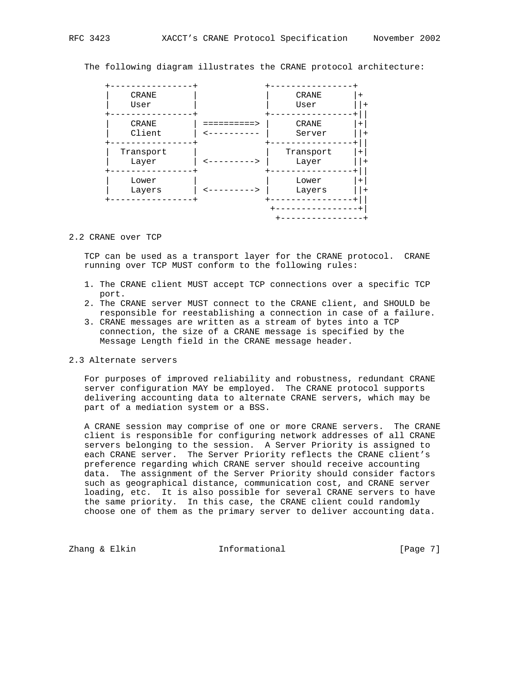The following diagram illustrates the CRANE protocol architecture:



#### 2.2 CRANE over TCP

 TCP can be used as a transport layer for the CRANE protocol. CRANE running over TCP MUST conform to the following rules:

- 1. The CRANE client MUST accept TCP connections over a specific TCP port.
- 2. The CRANE server MUST connect to the CRANE client, and SHOULD be responsible for reestablishing a connection in case of a failure.
- 3. CRANE messages are written as a stream of bytes into a TCP connection, the size of a CRANE message is specified by the Message Length field in the CRANE message header.

### 2.3 Alternate servers

 For purposes of improved reliability and robustness, redundant CRANE server configuration MAY be employed. The CRANE protocol supports delivering accounting data to alternate CRANE servers, which may be part of a mediation system or a BSS.

 A CRANE session may comprise of one or more CRANE servers. The CRANE client is responsible for configuring network addresses of all CRANE servers belonging to the session. A Server Priority is assigned to each CRANE server. The Server Priority reflects the CRANE client's preference regarding which CRANE server should receive accounting data. The assignment of the Server Priority should consider factors such as geographical distance, communication cost, and CRANE server loading, etc. It is also possible for several CRANE servers to have the same priority. In this case, the CRANE client could randomly choose one of them as the primary server to deliver accounting data.

Zhang & Elkin **Informational** Informational [Page 7]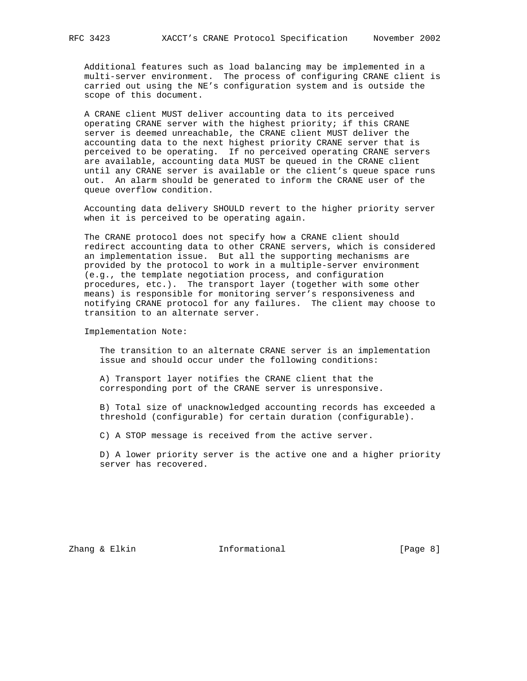Additional features such as load balancing may be implemented in a multi-server environment. The process of configuring CRANE client is carried out using the NE's configuration system and is outside the scope of this document.

 A CRANE client MUST deliver accounting data to its perceived operating CRANE server with the highest priority; if this CRANE server is deemed unreachable, the CRANE client MUST deliver the accounting data to the next highest priority CRANE server that is perceived to be operating. If no perceived operating CRANE servers are available, accounting data MUST be queued in the CRANE client until any CRANE server is available or the client's queue space runs out. An alarm should be generated to inform the CRANE user of the queue overflow condition.

 Accounting data delivery SHOULD revert to the higher priority server when it is perceived to be operating again.

 The CRANE protocol does not specify how a CRANE client should redirect accounting data to other CRANE servers, which is considered an implementation issue. But all the supporting mechanisms are provided by the protocol to work in a multiple-server environment (e.g., the template negotiation process, and configuration procedures, etc.). The transport layer (together with some other means) is responsible for monitoring server's responsiveness and notifying CRANE protocol for any failures. The client may choose to transition to an alternate server.

Implementation Note:

 The transition to an alternate CRANE server is an implementation issue and should occur under the following conditions:

 A) Transport layer notifies the CRANE client that the corresponding port of the CRANE server is unresponsive.

 B) Total size of unacknowledged accounting records has exceeded a threshold (configurable) for certain duration (configurable).

C) A STOP message is received from the active server.

 D) A lower priority server is the active one and a higher priority server has recovered.

Zhang & Elkin Informational [Page 8]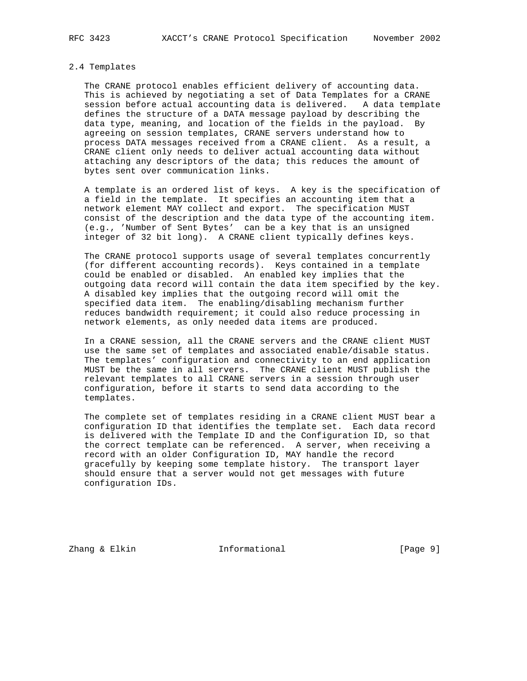#### 2.4 Templates

 The CRANE protocol enables efficient delivery of accounting data. This is achieved by negotiating a set of Data Templates for a CRANE session before actual accounting data is delivered. A data template defines the structure of a DATA message payload by describing the data type, meaning, and location of the fields in the payload. By agreeing on session templates, CRANE servers understand how to process DATA messages received from a CRANE client. As a result, a CRANE client only needs to deliver actual accounting data without attaching any descriptors of the data; this reduces the amount of bytes sent over communication links.

 A template is an ordered list of keys. A key is the specification of a field in the template. It specifies an accounting item that a network element MAY collect and export. The specification MUST consist of the description and the data type of the accounting item. (e.g., 'Number of Sent Bytes' can be a key that is an unsigned integer of 32 bit long). A CRANE client typically defines keys.

 The CRANE protocol supports usage of several templates concurrently (for different accounting records). Keys contained in a template could be enabled or disabled. An enabled key implies that the outgoing data record will contain the data item specified by the key. A disabled key implies that the outgoing record will omit the specified data item. The enabling/disabling mechanism further reduces bandwidth requirement; it could also reduce processing in network elements, as only needed data items are produced.

 In a CRANE session, all the CRANE servers and the CRANE client MUST use the same set of templates and associated enable/disable status. The templates' configuration and connectivity to an end application MUST be the same in all servers. The CRANE client MUST publish the relevant templates to all CRANE servers in a session through user configuration, before it starts to send data according to the templates.

 The complete set of templates residing in a CRANE client MUST bear a configuration ID that identifies the template set. Each data record is delivered with the Template ID and the Configuration ID, so that the correct template can be referenced. A server, when receiving a record with an older Configuration ID, MAY handle the record gracefully by keeping some template history. The transport layer should ensure that a server would not get messages with future configuration IDs.

Zhang & Elkin **Informational** Informational [Page 9]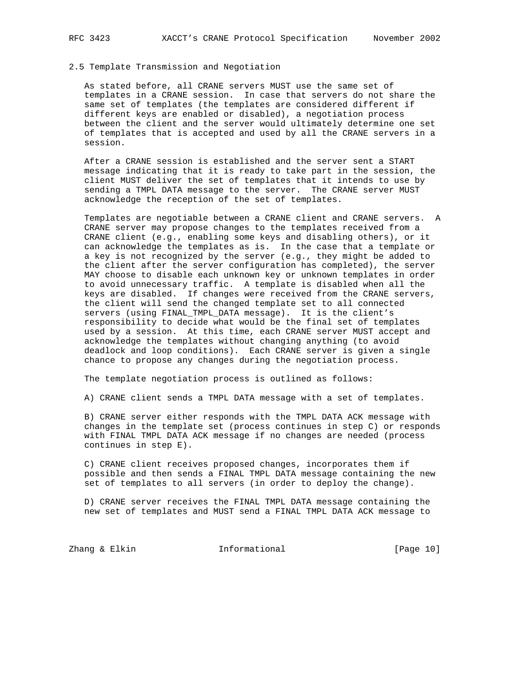#### 2.5 Template Transmission and Negotiation

 As stated before, all CRANE servers MUST use the same set of templates in a CRANE session. In case that servers do not share the same set of templates (the templates are considered different if different keys are enabled or disabled), a negotiation process between the client and the server would ultimately determine one set of templates that is accepted and used by all the CRANE servers in a session.

 After a CRANE session is established and the server sent a START message indicating that it is ready to take part in the session, the client MUST deliver the set of templates that it intends to use by sending a TMPL DATA message to the server. The CRANE server MUST acknowledge the reception of the set of templates.

 Templates are negotiable between a CRANE client and CRANE servers. A CRANE server may propose changes to the templates received from a CRANE client (e.g., enabling some keys and disabling others), or it can acknowledge the templates as is. In the case that a template or a key is not recognized by the server (e.g., they might be added to the client after the server configuration has completed), the server MAY choose to disable each unknown key or unknown templates in order to avoid unnecessary traffic. A template is disabled when all the keys are disabled. If changes were received from the CRANE servers, the client will send the changed template set to all connected servers (using FINAL\_TMPL\_DATA message). It is the client's responsibility to decide what would be the final set of templates used by a session. At this time, each CRANE server MUST accept and acknowledge the templates without changing anything (to avoid deadlock and loop conditions). Each CRANE server is given a single chance to propose any changes during the negotiation process.

The template negotiation process is outlined as follows:

A) CRANE client sends a TMPL DATA message with a set of templates.

 B) CRANE server either responds with the TMPL DATA ACK message with changes in the template set (process continues in step C) or responds with FINAL TMPL DATA ACK message if no changes are needed (process continues in step E).

 C) CRANE client receives proposed changes, incorporates them if possible and then sends a FINAL TMPL DATA message containing the new set of templates to all servers (in order to deploy the change).

 D) CRANE server receives the FINAL TMPL DATA message containing the new set of templates and MUST send a FINAL TMPL DATA ACK message to

Zhang & Elkin **Informational** [Page 10]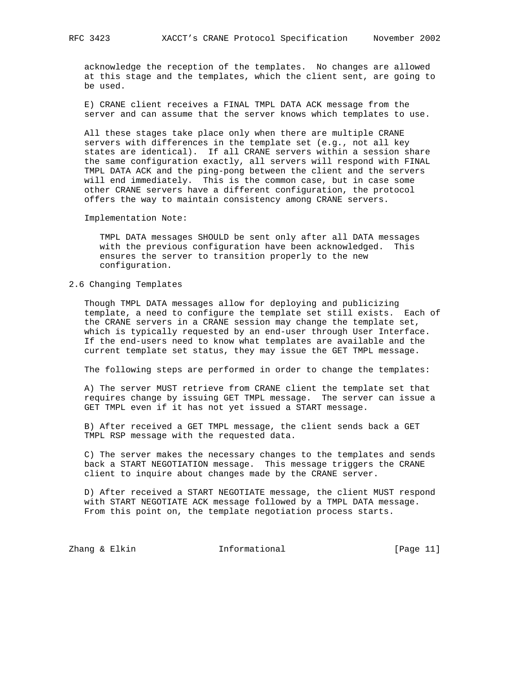acknowledge the reception of the templates. No changes are allowed at this stage and the templates, which the client sent, are going to be used.

 E) CRANE client receives a FINAL TMPL DATA ACK message from the server and can assume that the server knows which templates to use.

 All these stages take place only when there are multiple CRANE servers with differences in the template set (e.g., not all key states are identical). If all CRANE servers within a session share the same configuration exactly, all servers will respond with FINAL TMPL DATA ACK and the ping-pong between the client and the servers will end immediately. This is the common case, but in case some other CRANE servers have a different configuration, the protocol offers the way to maintain consistency among CRANE servers.

Implementation Note:

 TMPL DATA messages SHOULD be sent only after all DATA messages with the previous configuration have been acknowledged. This ensures the server to transition properly to the new configuration.

#### 2.6 Changing Templates

 Though TMPL DATA messages allow for deploying and publicizing template, a need to configure the template set still exists. Each of the CRANE servers in a CRANE session may change the template set, which is typically requested by an end-user through User Interface. If the end-users need to know what templates are available and the current template set status, they may issue the GET TMPL message.

The following steps are performed in order to change the templates:

 A) The server MUST retrieve from CRANE client the template set that requires change by issuing GET TMPL message. The server can issue a GET TMPL even if it has not yet issued a START message.

 B) After received a GET TMPL message, the client sends back a GET TMPL RSP message with the requested data.

 C) The server makes the necessary changes to the templates and sends back a START NEGOTIATION message. This message triggers the CRANE client to inquire about changes made by the CRANE server.

 D) After received a START NEGOTIATE message, the client MUST respond with START NEGOTIATE ACK message followed by a TMPL DATA message. From this point on, the template negotiation process starts.

Zhang & Elkin **Informational** [Page 11]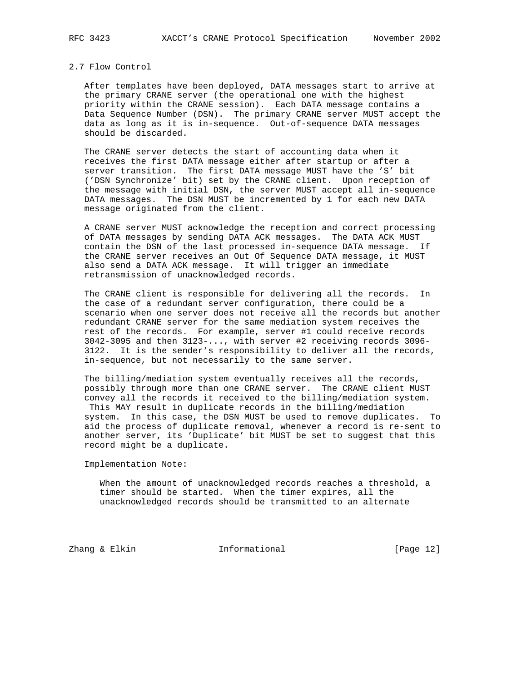# 2.7 Flow Control

 After templates have been deployed, DATA messages start to arrive at the primary CRANE server (the operational one with the highest priority within the CRANE session). Each DATA message contains a Data Sequence Number (DSN). The primary CRANE server MUST accept the data as long as it is in-sequence. Out-of-sequence DATA messages should be discarded.

 The CRANE server detects the start of accounting data when it receives the first DATA message either after startup or after a server transition. The first DATA message MUST have the 'S' bit ('DSN Synchronize' bit) set by the CRANE client. Upon reception of the message with initial DSN, the server MUST accept all in-sequence DATA messages. The DSN MUST be incremented by 1 for each new DATA message originated from the client.

 A CRANE server MUST acknowledge the reception and correct processing of DATA messages by sending DATA ACK messages. The DATA ACK MUST contain the DSN of the last processed in-sequence DATA message. If the CRANE server receives an Out Of Sequence DATA message, it MUST also send a DATA ACK message. It will trigger an immediate retransmission of unacknowledged records.

 The CRANE client is responsible for delivering all the records. In the case of a redundant server configuration, there could be a scenario when one server does not receive all the records but another redundant CRANE server for the same mediation system receives the rest of the records. For example, server #1 could receive records 3042-3095 and then 3123-..., with server #2 receiving records 3096- 3122. It is the sender's responsibility to deliver all the records, in-sequence, but not necessarily to the same server.

 The billing/mediation system eventually receives all the records, possibly through more than one CRANE server. The CRANE client MUST convey all the records it received to the billing/mediation system. This MAY result in duplicate records in the billing/mediation system. In this case, the DSN MUST be used to remove duplicates. To aid the process of duplicate removal, whenever a record is re-sent to another server, its 'Duplicate' bit MUST be set to suggest that this record might be a duplicate.

Implementation Note:

 When the amount of unacknowledged records reaches a threshold, a timer should be started. When the timer expires, all the unacknowledged records should be transmitted to an alternate

Zhang & Elkin **Informational** [Page 12]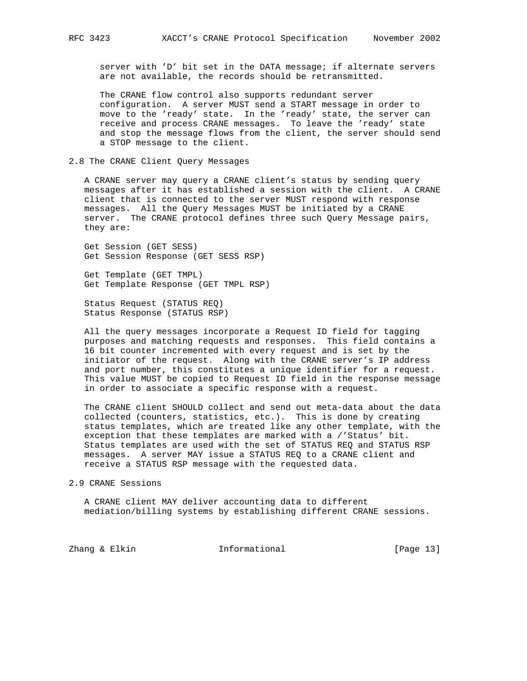server with 'D' bit set in the DATA message; if alternate servers are not available, the records should be retransmitted.

 The CRANE flow control also supports redundant server configuration. A server MUST send a START message in order to move to the 'ready' state. In the 'ready' state, the server can receive and process CRANE messages. To leave the 'ready' state and stop the message flows from the client, the server should send a STOP message to the client.

#### 2.8 The CRANE Client Query Messages

 A CRANE server may query a CRANE client's status by sending query messages after it has established a session with the client. A CRANE client that is connected to the server MUST respond with response messages. All the Query Messages MUST be initiated by a CRANE server. The CRANE protocol defines three such Query Message pairs, they are:

 Get Session (GET SESS) Get Session Response (GET SESS RSP)

 Get Template (GET TMPL) Get Template Response (GET TMPL RSP)

 Status Request (STATUS REQ) Status Response (STATUS RSP)

 All the query messages incorporate a Request ID field for tagging purposes and matching requests and responses. This field contains a 16 bit counter incremented with every request and is set by the initiator of the request. Along with the CRANE server's IP address and port number, this constitutes a unique identifier for a request. This value MUST be copied to Request ID field in the response message in order to associate a specific response with a request.

 The CRANE client SHOULD collect and send out meta-data about the data collected (counters, statistics, etc.). This is done by creating status templates, which are treated like any other template, with the exception that these templates are marked with a /'Status' bit. Status templates are used with the set of STATUS REQ and STATUS RSP messages. A server MAY issue a STATUS REQ to a CRANE client and receive a STATUS RSP message with the requested data.

#### 2.9 CRANE Sessions

 A CRANE client MAY deliver accounting data to different mediation/billing systems by establishing different CRANE sessions.

Zhang & Elkin **Informational** [Page 13]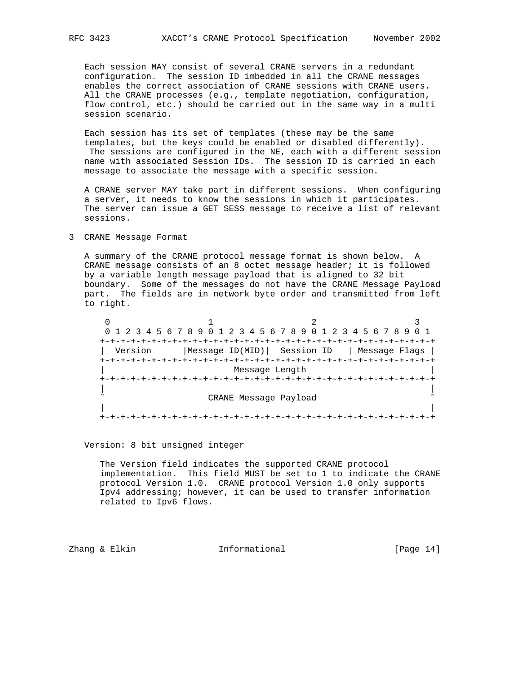Each session MAY consist of several CRANE servers in a redundant configuration. The session ID imbedded in all the CRANE messages enables the correct association of CRANE sessions with CRANE users. All the CRANE processes (e.g., template negotiation, configuration,

flow control, etc.) should be carried out in the same way in a multi

 Each session has its set of templates (these may be the same templates, but the keys could be enabled or disabled differently). The sessions are configured in the NE, each with a different session name with associated Session IDs. The session ID is carried in each message to associate the message with a specific session.

 A CRANE server MAY take part in different sessions. When configuring a server, it needs to know the sessions in which it participates. The server can issue a GET SESS message to receive a list of relevant sessions.

## 3 CRANE Message Format

session scenario.

 A summary of the CRANE protocol message format is shown below. A CRANE message consists of an 8 octet message header; it is followed by a variable length message payload that is aligned to 32 bit boundary. Some of the messages do not have the CRANE Message Payload part. The fields are in network byte order and transmitted from left to right.

 $0$  1 2 3 0 1 2 3 4 5 6 7 8 9 0 1 2 3 4 5 6 7 8 9 0 1 2 3 4 5 6 7 8 9 0 1 +-+-+-+-+-+-+-+-+-+-+-+-+-+-+-+-+-+-+-+-+-+-+-+-+-+-+-+-+-+-+-+-+ | Version |Message ID(MID)| Session ID | Message Flags | +-+-+-+-+-+-+-+-+-+-+-+-+-+-+-+-+-+-+-+-+-+-+-+-+-+-+-+-+-+-+-+-+ Message Length +-+-+-+-+-+-+-+-+-+-+-+-+-+-+-+-+-+-+-+-+-+-+-+-+-+-+-+-+-+-+-+-+ | | CRANE Message Payload | | +-+-+-+-+-+-+-+-+-+-+-+-+-+-+-+-+-+-+-+-+-+-+-+-+-+-+-+-+-+-+-+-+

#### Version: 8 bit unsigned integer

 The Version field indicates the supported CRANE protocol implementation. This field MUST be set to 1 to indicate the CRANE protocol Version 1.0. CRANE protocol Version 1.0 only supports Ipv4 addressing; however, it can be used to transfer information related to Ipv6 flows.

Zhang & Elkin **Informational** [Page 14]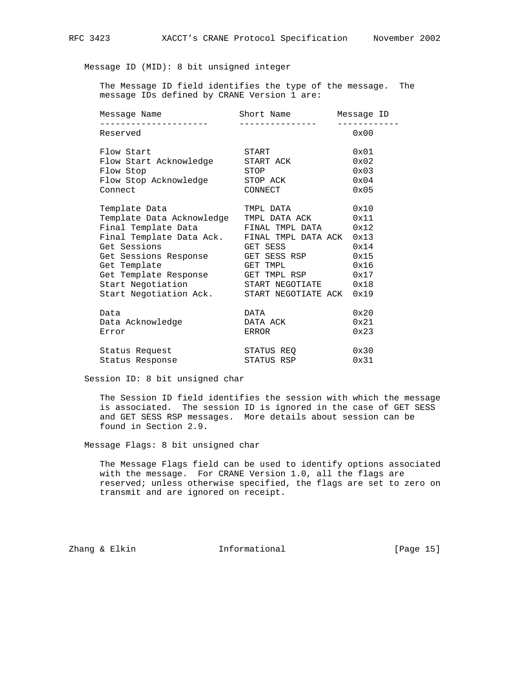Message ID (MID): 8 bit unsigned integer

 The Message ID field identifies the type of the message. The message IDs defined by CRANE Version 1 are:

| Message Name<br>_____________________        | Short Name<br>________________ | Messaqe ID    |
|----------------------------------------------|--------------------------------|---------------|
| Reserved                                     |                                | 0x00          |
| Flow Start                                   | START                          | $0 \times 01$ |
| Flow Start Acknowledge                       | START ACK                      | 0x02          |
| Flow Stop                                    | STOP                           | 0x03          |
| Flow Stop Acknowledge                        | STOP ACK                       | 0x04          |
| Connect                                      | CONNECT                        | 0x05          |
| Template Data                                | TMPL DATA                      | 0x10          |
| Template Data Acknowledge TMPL DATA ACK      |                                | 0x11          |
| Final Template Data FINAL TMPL DATA          |                                | 0x12          |
| Final Template Data Ack. FINAL TMPL DATA ACK |                                | 0x13          |
| Get Sessions                                 | GET SESS                       | 0x14          |
| Get Sessions Response                        | GET SESS RSP                   | 0x15          |
| Get Template                                 | GET TMPL                       | 0x16          |
| Get Template Response GET TMPL RSP           |                                | 0x17          |
| Start Negotiation                            | START NEGOTIATE                | 0x18          |
| Start Negotiation Ack.                       | START NEGOTIATE ACK            | 0x19          |
| Data                                         | DATA                           | 0x20          |
| Data Acknowledge                             | DATA ACK                       | 0x21          |
| Error                                        | ERROR                          | 0x23          |
| Status Request                               | STATUS REO                     | 0x30          |
| Status Response                              | STATUS RSP                     | 0x31          |

#### Session ID: 8 bit unsigned char

 The Session ID field identifies the session with which the message is associated. The session ID is ignored in the case of GET SESS and GET SESS RSP messages. More details about session can be found in Section 2.9.

Message Flags: 8 bit unsigned char

 The Message Flags field can be used to identify options associated with the message. For CRANE Version 1.0, all the flags are reserved; unless otherwise specified, the flags are set to zero on transmit and are ignored on receipt.

Zhang & Elkin **Informational** Informational [Page 15]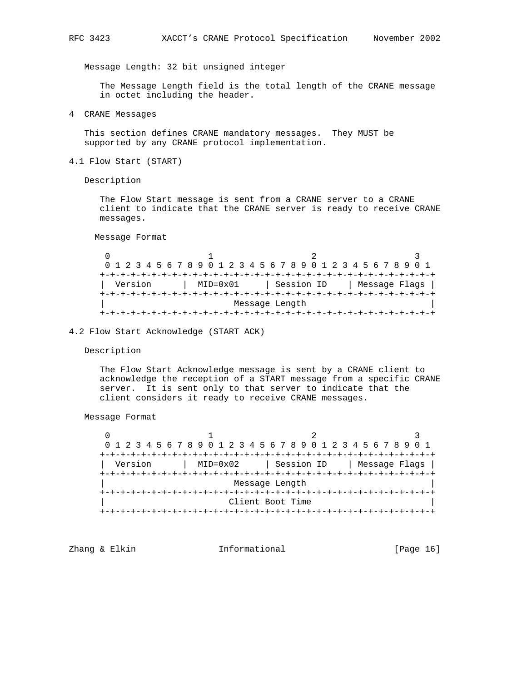Message Length: 32 bit unsigned integer

 The Message Length field is the total length of the CRANE message in octet including the header.

4 CRANE Messages

 This section defines CRANE mandatory messages. They MUST be supported by any CRANE protocol implementation.

4.1 Flow Start (START)

Description

 The Flow Start message is sent from a CRANE server to a CRANE client to indicate that the CRANE server is ready to receive CRANE messages.

Message Format

0  $1$  2 3 0 1 2 3 4 5 6 7 8 9 0 1 2 3 4 5 6 7 8 9 0 1 2 3 4 5 6 7 8 9 0 1 +-+-+-+-+-+-+-+-+-+-+-+-+-+-+-+-+-+-+-+-+-+-+-+-+-+-+-+-+-+-+-+-+ | Version | MID=0x01 | Session ID | Message Flags | +-+-+-+-+-+-+-+-+-+-+-+-+-+-+-+-+-+-+-+-+-+-+-+-+-+-+-+-+-+-+-+-+ Message Length +-+-+-+-+-+-+-+-+-+-+-+-+-+-+-+-+-+-+-+-+-+-+-+-+-+-+-+-+-+-+-+-+

4.2 Flow Start Acknowledge (START ACK)

Description

 The Flow Start Acknowledge message is sent by a CRANE client to acknowledge the reception of a START message from a specific CRANE server. It is sent only to that server to indicate that the client considers it ready to receive CRANE messages.

Message Format

 $0$  1 2 3 0 1 2 3 4 5 6 7 8 9 0 1 2 3 4 5 6 7 8 9 0 1 2 3 4 5 6 7 8 9 0 1 +-+-+-+-+-+-+-+-+-+-+-+-+-+-+-+-+-+-+-+-+-+-+-+-+-+-+-+-+-+-+-+-+ | Version | MID=0x02 | Session ID | Message Flags | +-+-+-+-+-+-+-+-+-+-+-+-+-+-+-+-+-+-+-+-+-+-+-+-+-+-+-+-+-+-+-+-+ Message Length +-+-+-+-+-+-+-+-+-+-+-+-+-+-+-+-+-+-+-+-+-+-+-+-+-+-+-+-+-+-+-+-+ Client Boot Time +-+-+-+-+-+-+-+-+-+-+-+-+-+-+-+-+-+-+-+-+-+-+-+-+-+-+-+-+-+-+-+-+

Zhang & Elkin **Informational** [Page 16]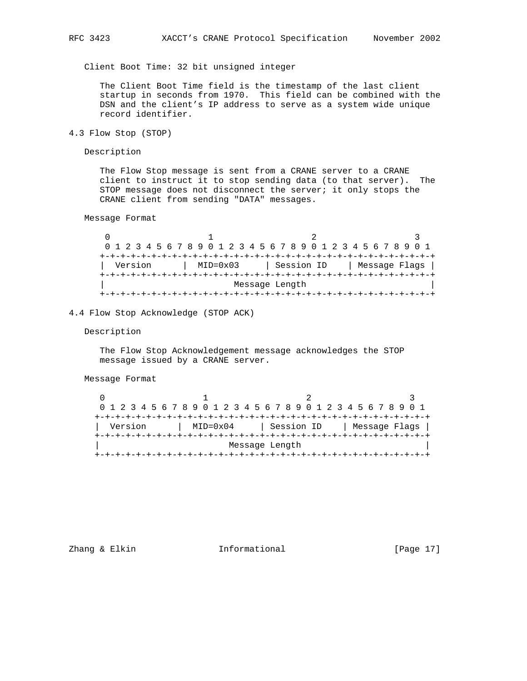Client Boot Time: 32 bit unsigned integer

 The Client Boot Time field is the timestamp of the last client startup in seconds from 1970. This field can be combined with the DSN and the client's IP address to serve as a system wide unique record identifier.

4.3 Flow Stop (STOP)

Description

 The Flow Stop message is sent from a CRANE server to a CRANE client to instruct it to stop sending data (to that server). The STOP message does not disconnect the server; it only stops the CRANE client from sending "DATA" messages.

Message Format

 $0$  1 2 3 0 1 2 3 4 5 6 7 8 9 0 1 2 3 4 5 6 7 8 9 0 1 2 3 4 5 6 7 8 9 0 1 +-+-+-+-+-+-+-+-+-+-+-+-+-+-+-+-+-+-+-+-+-+-+-+-+-+-+-+-+-+-+-+-+ | Version | MID=0x03 | Session ID | Message Flags | +-+-+-+-+-+-+-+-+-+-+-+-+-+-+-+-+-+-+-+-+-+-+-+-+-+-+-+-+-+-+-+-+ Message Length +-+-+-+-+-+-+-+-+-+-+-+-+-+-+-+-+-+-+-+-+-+-+-+-+-+-+-+-+-+-+-+-+

4.4 Flow Stop Acknowledge (STOP ACK)

Description

 The Flow Stop Acknowledgement message acknowledges the STOP message issued by a CRANE server.

Message Format

|  |  |         |  |  |  |          |  | 0 1 2 3 4 5 6 7 8 9 0 1 2 3 4 5 6 7 8 9 0 1 2 3 4 5 6 7 8 9 0 1 |  |            |  |  |  |  |  |  |               |  |
|--|--|---------|--|--|--|----------|--|-----------------------------------------------------------------|--|------------|--|--|--|--|--|--|---------------|--|
|  |  |         |  |  |  |          |  |                                                                 |  |            |  |  |  |  |  |  |               |  |
|  |  | Version |  |  |  | MID=0x04 |  |                                                                 |  | Session ID |  |  |  |  |  |  | Message Flags |  |
|  |  |         |  |  |  |          |  |                                                                 |  |            |  |  |  |  |  |  |               |  |
|  |  |         |  |  |  |          |  | Message Length                                                  |  |            |  |  |  |  |  |  |               |  |
|  |  |         |  |  |  |          |  |                                                                 |  |            |  |  |  |  |  |  |               |  |

Zhang & Elkin **Informational** [Page 17]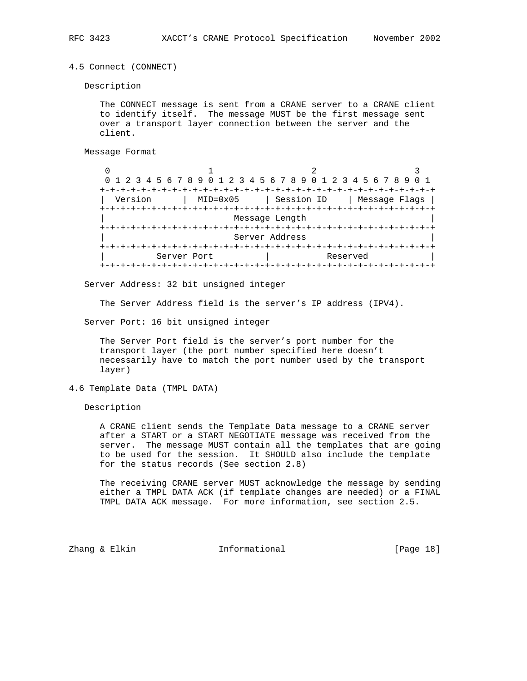4.5 Connect (CONNECT)

Description

 The CONNECT message is sent from a CRANE server to a CRANE client to identify itself. The message MUST be the first message sent over a transport layer connection between the server and the client.

Message Format

|         | 0 1 2 3 4 5 6 7 8 9 0 1 2 3 4 5 6 7 8 9 0 1 2 3 4 5 6 7 8 9 |                |               |
|---------|-------------------------------------------------------------|----------------|---------------|
|         | -+-+-+-+-+-+-+-+-+                                          |                |               |
| Version | $MID = 0 \times 05$                                         | Session ID     | Message Flags |
|         |                                                             |                |               |
|         |                                                             | Message Length |               |
|         |                                                             |                |               |
|         |                                                             | Server Address |               |
|         |                                                             |                |               |
|         | Server Port                                                 |                | Reserved      |
|         |                                                             |                |               |

Server Address: 32 bit unsigned integer

The Server Address field is the server's IP address (IPV4).

Server Port: 16 bit unsigned integer

 The Server Port field is the server's port number for the transport layer (the port number specified here doesn't necessarily have to match the port number used by the transport layer)

4.6 Template Data (TMPL DATA)

Description

 A CRANE client sends the Template Data message to a CRANE server after a START or a START NEGOTIATE message was received from the server. The message MUST contain all the templates that are going to be used for the session. It SHOULD also include the template for the status records (See section 2.8)

 The receiving CRANE server MUST acknowledge the message by sending either a TMPL DATA ACK (if template changes are needed) or a FINAL TMPL DATA ACK message. For more information, see section 2.5.

Zhang & Elkin **Informational** [Page 18]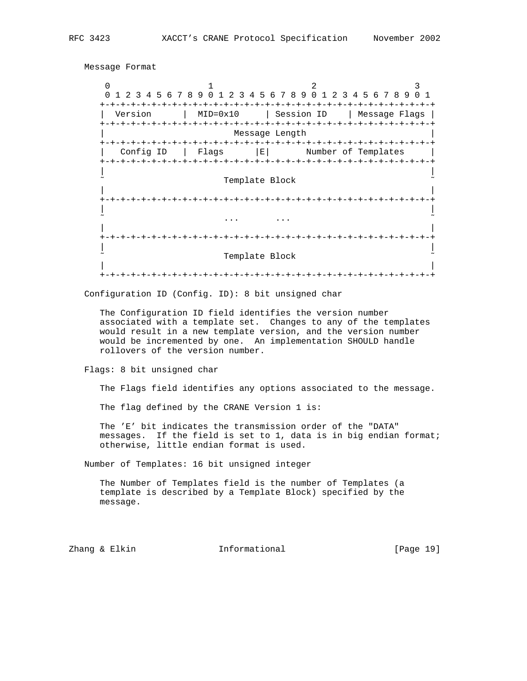```
 Message Format
```
0  $1$  2 3 0 1 2 3 4 5 6 7 8 9 0 1 2 3 4 5 6 7 8 9 0 1 2 3 4 5 6 7 8 9 0 1 +-+-+-+-+-+-+-+-+-+-+-+-+-+-+-+-+-+-+-+-+-+-+-+-+-+-+-+-+-+-+-+-+ | Version | MID=0x10 | Session ID | Message Flags | +-+-+-+-+-+-+-+-+-+-+-+-+-+-+-+-+-+-+-+-+-+-+-+-+-+-+-+-+-+-+-+-+ Message Length +-+-+-+-+-+-+-+-+-+-+-+-+-+-+-+-+-+-+-+-+-+-+-+-+-+-+-+-+-+-+-+-+ | Config ID | Flags |E| Number of Templates +-+-+-+-+-+-+-+-+-+-+-+-+-+-+-+-+-+-+-+-+-+-+-+-+-+-+-+-+-+-+-+-+ | | Template Block | | +-+-+-+-+-+-+-+-+-+-+-+-+-+-+-+-+-+-+-+-+-+-+-+-+-+-+-+-+-+-+-+-+ | | ˜ ... ... ˜ | | +-+-+-+-+-+-+-+-+-+-+-+-+-+-+-+-+-+-+-+-+-+-+-+-+-+-+-+-+-+-+-+-+ | | Template Block | | +-+-+-+-+-+-+-+-+-+-+-+-+-+-+-+-+-+-+-+-+-+-+-+-+-+-+-+-+-+-+-+-+

Configuration ID (Config. ID): 8 bit unsigned char

 The Configuration ID field identifies the version number associated with a template set. Changes to any of the templates would result in a new template version, and the version number would be incremented by one. An implementation SHOULD handle rollovers of the version number.

Flags: 8 bit unsigned char

The Flags field identifies any options associated to the message.

The flag defined by the CRANE Version 1 is:

 The 'E' bit indicates the transmission order of the "DATA" messages. If the field is set to 1, data is in big endian format; otherwise, little endian format is used.

Number of Templates: 16 bit unsigned integer

 The Number of Templates field is the number of Templates (a template is described by a Template Block) specified by the message.

Zhang & Elkin **Informational** [Page 19]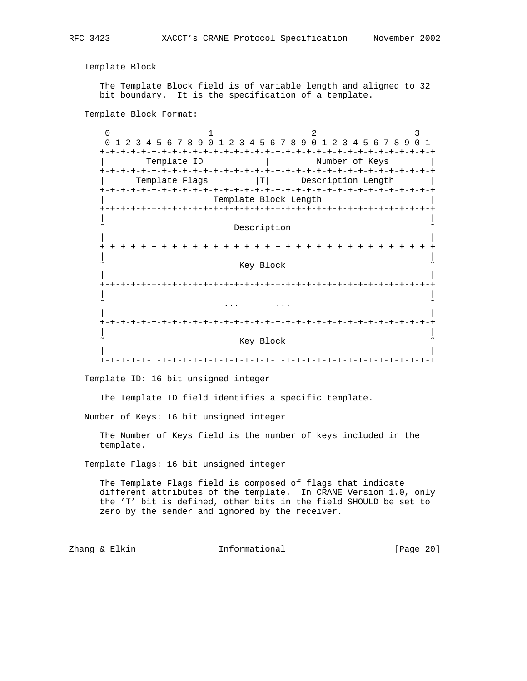Template Block

 The Template Block field is of variable length and aligned to 32 bit boundary. It is the specification of a template.

Template Block Format:

 $0$  1 2 3 0 1 2 3 4 5 6 7 8 9 0 1 2 3 4 5 6 7 8 9 0 1 2 3 4 5 6 7 8 9 0 1 +-+-+-+-+-+-+-+-+-+-+-+-+-+-+-+-+-+-+-+-+-+-+-+-+-+-+-+-+-+-+-+-+ Template ID | Number of Keys +-+-+-+-+-+-+-+-+-+-+-+-+-+-+-+-+-+-+-+-+-+-+-+-+-+-+-+-+-+-+-+-+ Template Flags  $|T|$  Description Length +-+-+-+-+-+-+-+-+-+-+-+-+-+-+-+-+-+-+-+-+-+-+-+-+-+-+-+-+-+-+-+-+ Template Block Length +-+-+-+-+-+-+-+-+-+-+-+-+-+-+-+-+-+-+-+-+-+-+-+-+-+-+-+-+-+-+-+-+ | | Description | | +-+-+-+-+-+-+-+-+-+-+-+-+-+-+-+-+-+-+-+-+-+-+-+-+-+-+-+-+-+-+-+-+ | | Key Block | | +-+-+-+-+-+-+-+-+-+-+-+-+-+-+-+-+-+-+-+-+-+-+-+-+-+-+-+-+-+-+-+-+ | | ˜ ... ... ˜ | | +-+-+-+-+-+-+-+-+-+-+-+-+-+-+-+-+-+-+-+-+-+-+-+-+-+-+-+-+-+-+-+-+ | | Key Block | | +-+-+-+-+-+-+-+-+-+-+-+-+-+-+-+-+-+-+-+-+-+-+-+-+-+-+-+-+-+-+-+-+

Template ID: 16 bit unsigned integer

The Template ID field identifies a specific template.

Number of Keys: 16 bit unsigned integer

 The Number of Keys field is the number of keys included in the template.

Template Flags: 16 bit unsigned integer

 The Template Flags field is composed of flags that indicate different attributes of the template. In CRANE Version 1.0, only the 'T' bit is defined, other bits in the field SHOULD be set to zero by the sender and ignored by the receiver.

Zhang & Elkin **Informational** [Page 20]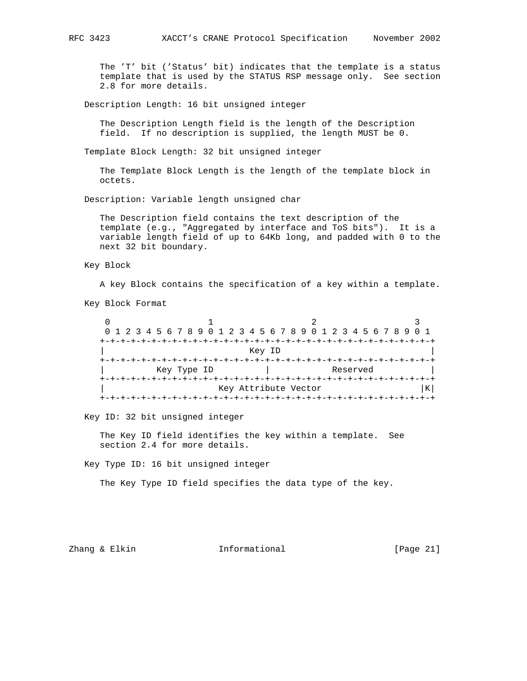The 'T' bit ('Status' bit) indicates that the template is a status template that is used by the STATUS RSP message only. See section 2.8 for more details.

Description Length: 16 bit unsigned integer

 The Description Length field is the length of the Description field. If no description is supplied, the length MUST be 0.

Template Block Length: 32 bit unsigned integer

 The Template Block Length is the length of the template block in octets.

Description: Variable length unsigned char

 The Description field contains the text description of the template (e.g., "Aggregated by interface and ToS bits"). It is a variable length field of up to 64Kb long, and padded with 0 to the next 32 bit boundary.

#### Key Block

A key Block contains the specification of a key within a template.

Key Block Format

 $0$  1 2 3 0 1 2 3 4 5 6 7 8 9 0 1 2 3 4 5 6 7 8 9 0 1 2 3 4 5 6 7 8 9 0 1 +-+-+-+-+-+-+-+-+-+-+-+-+-+-+-+-+-+-+-+-+-+-+-+-+-+-+-+-+-+-+-+-+ | Key ID | +-+-+-+-+-+-+-+-+-+-+-+-+-+-+-+-+-+-+-+-+-+-+-+-+-+-+-+-+-+-+-+-+ Key Type ID  $\qquad \qquad |$  Reserved +-+-+-+-+-+-+-+-+-+-+-+-+-+-+-+-+-+-+-+-+-+-+-+-+-+-+-+-+-+-+-+-+ Key Attribute Vector +-+-+-+-+-+-+-+-+-+-+-+-+-+-+-+-+-+-+-+-+-+-+-+-+-+-+-+-+-+-+-+-+

Key ID: 32 bit unsigned integer

 The Key ID field identifies the key within a template. See section 2.4 for more details.

Key Type ID: 16 bit unsigned integer

The Key Type ID field specifies the data type of the key.

Zhang & Elkin **Informational** [Page 21]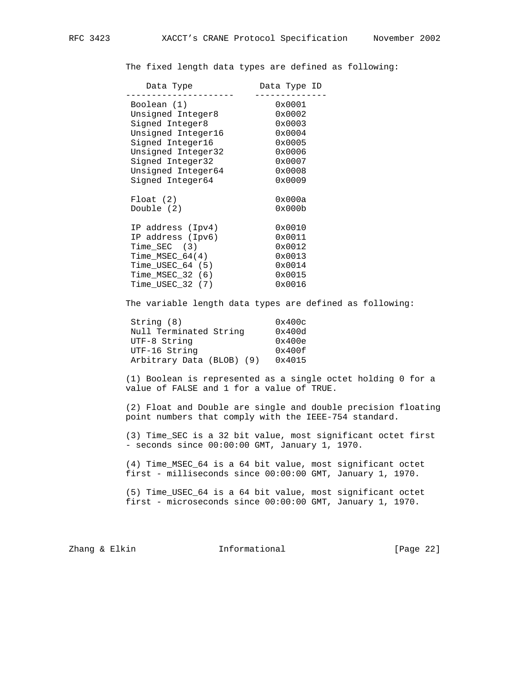The fixed length data types are defined as following:

| Data Type ID |
|--------------|
| 0x0001       |
| 0x0002       |
| 0x0003       |
| 0x0004       |
| 0x0005       |
| 0x0006       |
| 0x0007       |
| 0x0008       |
| 0x0009       |
|              |
| 0x000a       |
| 0x000b       |
|              |
| 0x0010       |
| 0x0011       |
| 0x0012       |
| 0x0013       |
| 0x0014       |
| 0x0015       |
| 0x0016       |
|              |

The variable length data types are defined as following:

| 0x400c |
|--------|
| 0x400d |
| 0x400e |
| 0x400f |
| 0x4015 |
|        |

 (1) Boolean is represented as a single octet holding 0 for a value of FALSE and 1 for a value of TRUE.

 (2) Float and Double are single and double precision floating point numbers that comply with the IEEE-754 standard.

 (3) Time\_SEC is a 32 bit value, most significant octet first - seconds since 00:00:00 GMT, January 1, 1970.

 (4) Time\_MSEC\_64 is a 64 bit value, most significant octet first - milliseconds since 00:00:00 GMT, January 1, 1970.

 (5) Time\_USEC\_64 is a 64 bit value, most significant octet first - microseconds since 00:00:00 GMT, January 1, 1970.

Zhang & Elkin **Informational** [Page 22]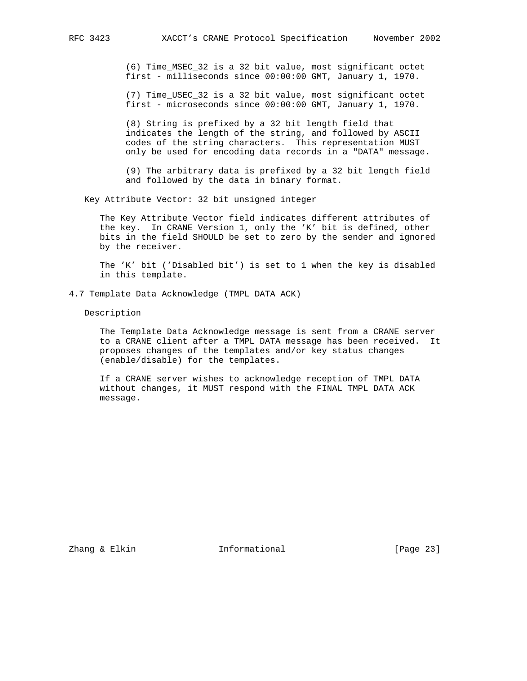(6) Time\_MSEC\_32 is a 32 bit value, most significant octet first - milliseconds since 00:00:00 GMT, January 1, 1970.

 (7) Time\_USEC\_32 is a 32 bit value, most significant octet first - microseconds since 00:00:00 GMT, January 1, 1970.

 (8) String is prefixed by a 32 bit length field that indicates the length of the string, and followed by ASCII codes of the string characters. This representation MUST only be used for encoding data records in a "DATA" message.

 (9) The arbitrary data is prefixed by a 32 bit length field and followed by the data in binary format.

Key Attribute Vector: 32 bit unsigned integer

 The Key Attribute Vector field indicates different attributes of the key. In CRANE Version 1, only the 'K' bit is defined, other bits in the field SHOULD be set to zero by the sender and ignored by the receiver.

 The 'K' bit ('Disabled bit') is set to 1 when the key is disabled in this template.

4.7 Template Data Acknowledge (TMPL DATA ACK)

Description

 The Template Data Acknowledge message is sent from a CRANE server to a CRANE client after a TMPL DATA message has been received. It proposes changes of the templates and/or key status changes (enable/disable) for the templates.

 If a CRANE server wishes to acknowledge reception of TMPL DATA without changes, it MUST respond with the FINAL TMPL DATA ACK message.

Zhang & Elkin Informational [Page 23]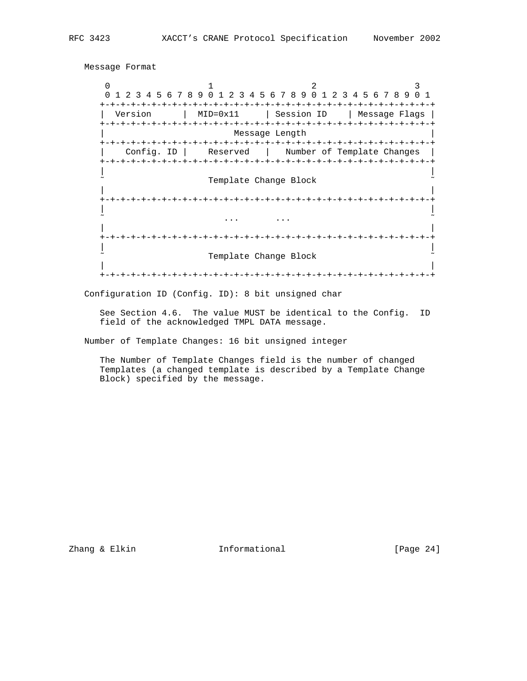Message Format

```
0 1 2 3
    0 1 2 3 4 5 6 7 8 9 0 1 2 3 4 5 6 7 8 9 0 1 2 3 4 5 6 7 8 9 0 1
    +-+-+-+-+-+-+-+-+-+-+-+-+-+-+-+-+-+-+-+-+-+-+-+-+-+-+-+-+-+-+-+-+
     | Version | MID=0x11 | Session ID | Message Flags |
    +-+-+-+-+-+-+-+-+-+-+-+-+-+-+-+-+-+-+-+-+-+-+-+-+-+-+-+-+-+-+-+-+
                  Message Length
    +-+-+-+-+-+-+-+-+-+-+-+-+-+-+-+-+-+-+-+-+-+-+-+-+-+-+-+-+-+-+-+-+
      | Config. ID | Reserved | Number of Template Changes |
    +-+-+-+-+-+-+-+-+-+-+-+-+-+-+-+-+-+-+-+-+-+-+-+-+-+-+-+-+-+-+-+-+
 | |
               Template Change Block
 | |
    +-+-+-+-+-+-+-+-+-+-+-+-+-+-+-+-+-+-+-+-+-+-+-+-+-+-+-+-+-+-+-+-+
 | |
 ˜ ... ... ˜
 | |
    +-+-+-+-+-+-+-+-+-+-+-+-+-+-+-+-+-+-+-+-+-+-+-+-+-+-+-+-+-+-+-+-+
 | |
               Template Change Block
 | |
    +-+-+-+-+-+-+-+-+-+-+-+-+-+-+-+-+-+-+-+-+-+-+-+-+-+-+-+-+-+-+-+-+
```
Configuration ID (Config. ID): 8 bit unsigned char

 See Section 4.6. The value MUST be identical to the Config. ID field of the acknowledged TMPL DATA message.

Number of Template Changes: 16 bit unsigned integer

 The Number of Template Changes field is the number of changed Templates (a changed template is described by a Template Change Block) specified by the message.

Zhang & Elkin **Informational** [Page 24]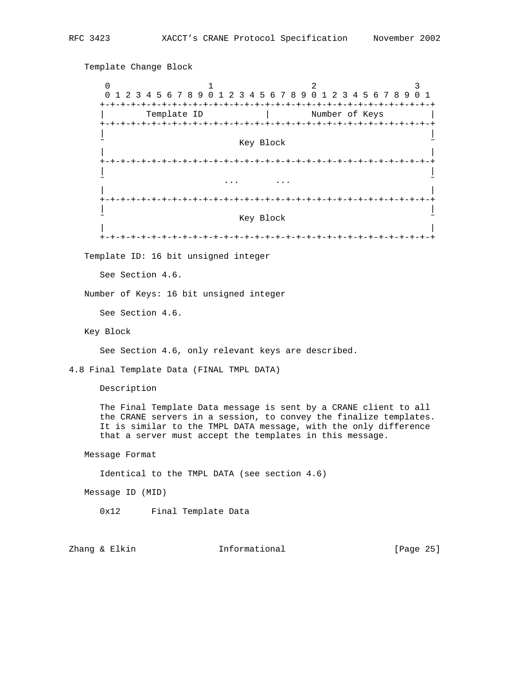Template Change Block 0  $1$  2 3 0 1 2 3 4 5 6 7 8 9 0 1 2 3 4 5 6 7 8 9 0 1 2 3 4 5 6 7 8 9 0 1 +-+-+-+-+-+-+-+-+-+-+-+-+-+-+-+-+-+-+-+-+-+-+-+-+-+-+-+-+-+-+-+-+ | Template ID | Number of Keys | +-+-+-+-+-+-+-+-+-+-+-+-+-+-+-+-+-+-+-+-+-+-+-+-+-+-+-+-+-+-+-+-+ | | Key Block | | +-+-+-+-+-+-+-+-+-+-+-+-+-+-+-+-+-+-+-+-+-+-+-+-+-+-+-+-+-+-+-+-+ | | ˜ ... ... ˜ | | +-+-+-+-+-+-+-+-+-+-+-+-+-+-+-+-+-+-+-+-+-+-+-+-+-+-+-+-+-+-+-+-+ | | Key Block | | +-+-+-+-+-+-+-+-+-+-+-+-+-+-+-+-+-+-+-+-+-+-+-+-+-+-+-+-+-+-+-+-+ Template ID: 16 bit unsigned integer See Section 4.6. Number of Keys: 16 bit unsigned integer See Section 4.6. Key Block See Section 4.6, only relevant keys are described. 4.8 Final Template Data (FINAL TMPL DATA) Description The Final Template Data message is sent by a CRANE client to all the CRANE servers in a session, to convey the finalize templates. It is similar to the TMPL DATA message, with the only difference that a server must accept the templates in this message. Message Format Identical to the TMPL DATA (see section 4.6) Message ID (MID) 0x12 Final Template Data

Zhang & Elkin **Informational** [Page 25]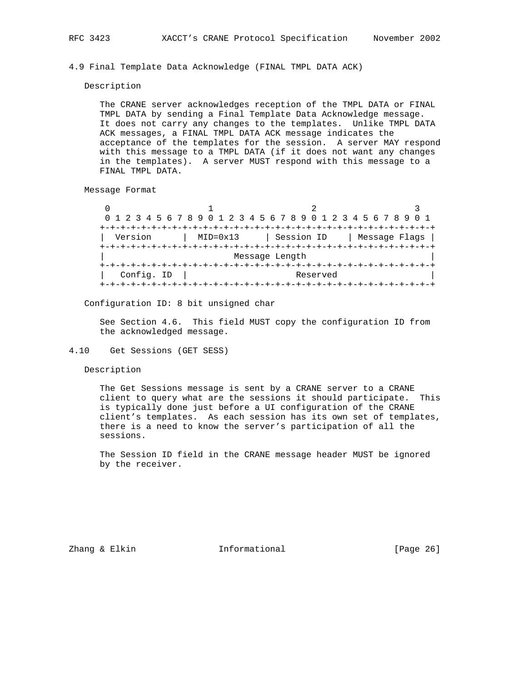4.9 Final Template Data Acknowledge (FINAL TMPL DATA ACK)

Description

 The CRANE server acknowledges reception of the TMPL DATA or FINAL TMPL DATA by sending a Final Template Data Acknowledge message. It does not carry any changes to the templates. Unlike TMPL DATA ACK messages, a FINAL TMPL DATA ACK message indicates the acceptance of the templates for the session. A server MAY respond with this message to a TMPL DATA (if it does not want any changes in the templates). A server MUST respond with this message to a FINAL TMPL DATA.

Message Format

|            |                     | 0 1 2 3 4 5 6 7 8 9 0 1 2 3 4 5 6 7 8 9 0 1 2 3 4 5 6 7 8 9 0 1 |               |
|------------|---------------------|-----------------------------------------------------------------|---------------|
|            |                     |                                                                 |               |
| Version    | $MID = 0 \times 13$ | Session ID                                                      | Message Flags |
|            |                     |                                                                 |               |
|            |                     | Message Length                                                  |               |
|            |                     |                                                                 |               |
| Config. ID |                     | Reserved                                                        |               |
|            |                     |                                                                 |               |

Configuration ID: 8 bit unsigned char

 See Section 4.6. This field MUST copy the configuration ID from the acknowledged message.

#### 4.10 Get Sessions (GET SESS)

Description

 The Get Sessions message is sent by a CRANE server to a CRANE client to query what are the sessions it should participate. This is typically done just before a UI configuration of the CRANE client's templates. As each session has its own set of templates, there is a need to know the server's participation of all the sessions.

 The Session ID field in the CRANE message header MUST be ignored by the receiver.

Zhang & Elkin Informational [Page 26]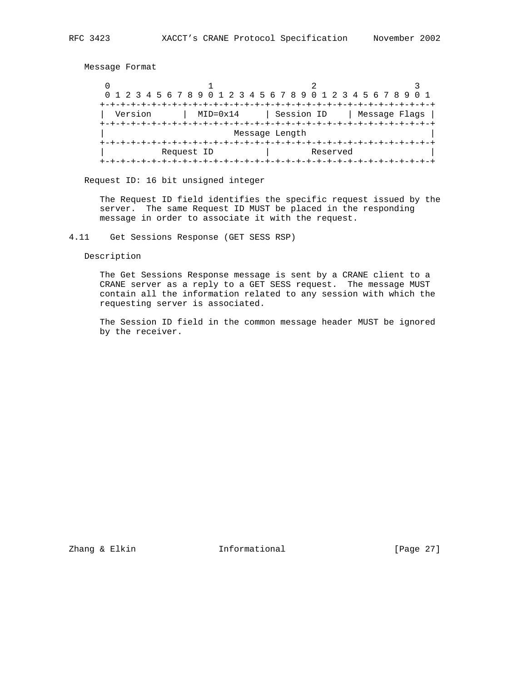Message Format

0  $1$  2 3 0 1 2 3 4 5 6 7 8 9 0 1 2 3 4 5 6 7 8 9 0 1 2 3 4 5 6 7 8 9 0 1 +-+-+-+-+-+-+-+-+-+-+-+-+-+-+-+-+-+-+-+-+-+-+-+-+-+-+-+-+-+-+-+-+ | Version | MID=0x14 | Session ID | Message Flags | +-+-+-+-+-+-+-+-+-+-+-+-+-+-+-+-+-+-+-+-+-+-+-+-+-+-+-+-+-+-+-+-+ Message Length +-+-+-+-+-+-+-+-+-+-+-+-+-+-+-+-+-+-+-+-+-+-+-+-+-+-+-+-+-+-+-+-+ Request ID  $|$  Reserved +-+-+-+-+-+-+-+-+-+-+-+-+-+-+-+-+-+-+-+-+-+-+-+-+-+-+-+-+-+-+-+-+

Request ID: 16 bit unsigned integer

 The Request ID field identifies the specific request issued by the server. The same Request ID MUST be placed in the responding message in order to associate it with the request.

4.11 Get Sessions Response (GET SESS RSP)

Description

 The Get Sessions Response message is sent by a CRANE client to a CRANE server as a reply to a GET SESS request. The message MUST contain all the information related to any session with which the requesting server is associated.

 The Session ID field in the common message header MUST be ignored by the receiver.

Zhang & Elkin **Informational** [Page 27]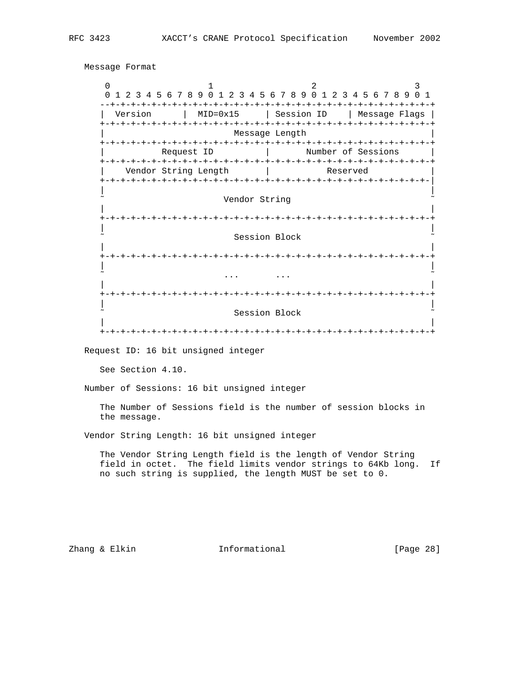0  $1$  2 3 0 1 2 3 4 5 6 7 8 9 0 1 2 3 4 5 6 7 8 9 0 1 2 3 4 5 6 7 8 9 0 1 --+-+-+-+-+-+-+-+-+-+-+-+-+-+-+-+-+-+-+-+-+-+-+-+-+-+-+-+-+-+-+-+ | Version | MID=0x15 | Session ID | Message Flags | +-+-+-+-+-+-+-+-+-+-+-+-+-+-+-+-+-+-+-+-+-+-+-+-+-+-+-+-+-+-+-+-+ Message Length +-+-+-+-+-+-+-+-+-+-+-+-+-+-+-+-+-+-+-+-+-+-+-+-+-+-+-+-+-+-+-+-+ Request ID | Number of Sessions +-+-+-+-+-+-+-+-+-+-+-+-+-+-+-+-+-+-+-+-+-+-+-+-+-+-+-+-+-+-+-+-+ Vendor String Length | Reserved +-+-+-+-+-+-+-+-+-+-+-+-+-+-+-+-+-+-+-+-+-+-+-+-+-+-+-+-+-+-+-+-| | | Vendor String | | +-+-+-+-+-+-+-+-+-+-+-+-+-+-+-+-+-+-+-+-+-+-+-+-+-+-+-+-+-+-+-+-+ | | Session Block | | +-+-+-+-+-+-+-+-+-+-+-+-+-+-+-+-+-+-+-+-+-+-+-+-+-+-+-+-+-+-+-+-+ | | ˜ ... ... ˜ | | +-+-+-+-+-+-+-+-+-+-+-+-+-+-+-+-+-+-+-+-+-+-+-+-+-+-+-+-+-+-+-+-+ | | Session Block | | +-+-+-+-+-+-+-+-+-+-+-+-+-+-+-+-+-+-+-+-+-+-+-+-+-+-+-+-+-+-+-+-+ Request ID: 16 bit unsigned integer See Section 4.10. Number of Sessions: 16 bit unsigned integer The Number of Sessions field is the number of session blocks in the message. Vendor String Length: 16 bit unsigned integer The Vendor String Length field is the length of Vendor String field in octet. The field limits vendor strings to 64Kb long. If no such string is supplied, the length MUST be set to 0. Zhang & Elkin Informational [Page 28]

Message Format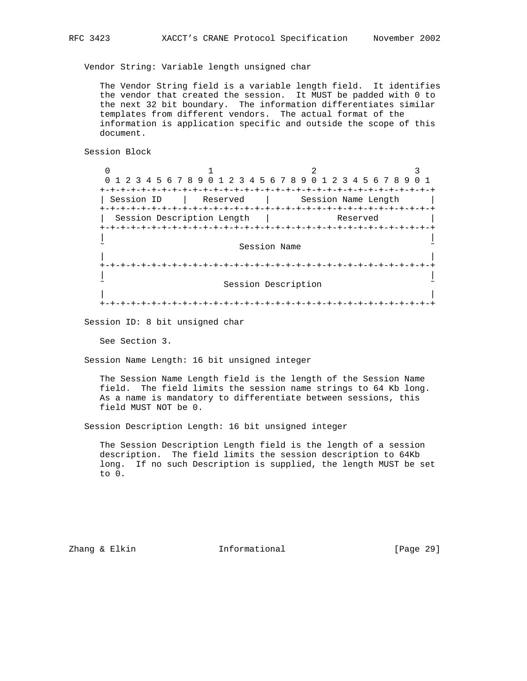Vendor String: Variable length unsigned char

 The Vendor String field is a variable length field. It identifies the vendor that created the session. It MUST be padded with 0 to the next 32 bit boundary. The information differentiates similar templates from different vendors. The actual format of the information is application specific and outside the scope of this document.

Session Block

 $\begin{array}{ccccccc}\n0 & & & & 1 & & & & 2 & & & & 3\n\end{array}$  0 1 2 3 4 5 6 7 8 9 0 1 2 3 4 5 6 7 8 9 0 1 2 3 4 5 6 7 8 9 0 1 +-+-+-+-+-+-+-+-+-+-+-+-+-+-+-+-+-+-+-+-+-+-+-+-+-+-+-+-+-+-+-+-+ | Session ID | Reserved | Session Name Length +-+-+-+-+-+-+-+-+-+-+-+-+-+-+-+-+-+-+-+-+-+-+-+-+-+-+-+-+-+-+-+-+ | Session Description Length | Reserved +-+-+-+-+-+-+-+-+-+-+-+-+-+-+-+-+-+-+-+-+-+-+-+-+-+-+-+-+-+-+-+-+ | | Session Name | | +-+-+-+-+-+-+-+-+-+-+-+-+-+-+-+-+-+-+-+-+-+-+-+-+-+-+-+-+-+-+-+-+ | | Session Description | | +-+-+-+-+-+-+-+-+-+-+-+-+-+-+-+-+-+-+-+-+-+-+-+-+-+-+-+-+-+-+-+-+

Session ID: 8 bit unsigned char

See Section 3.

Session Name Length: 16 bit unsigned integer

 The Session Name Length field is the length of the Session Name field. The field limits the session name strings to 64 Kb long. As a name is mandatory to differentiate between sessions, this field MUST NOT be 0.

Session Description Length: 16 bit unsigned integer

 The Session Description Length field is the length of a session description. The field limits the session description to 64Kb long. If no such Description is supplied, the length MUST be set to 0.

Zhang & Elkin **Informational** [Page 29]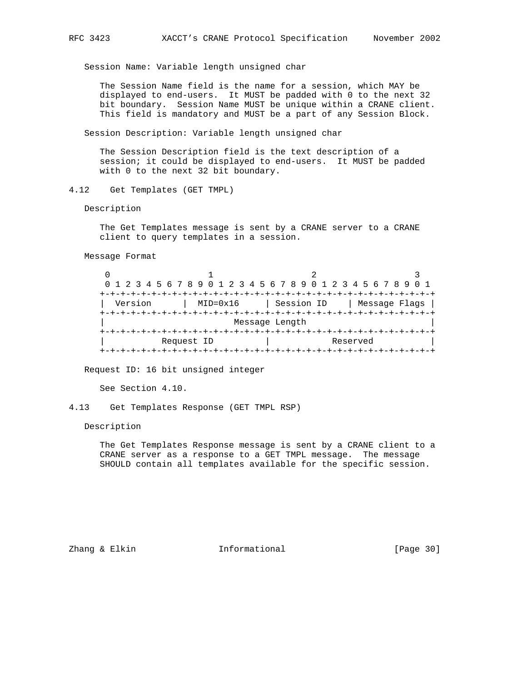Session Name: Variable length unsigned char

 The Session Name field is the name for a session, which MAY be displayed to end-users. It MUST be padded with 0 to the next 32 bit boundary. Session Name MUST be unique within a CRANE client. This field is mandatory and MUST be a part of any Session Block.

Session Description: Variable length unsigned char

 The Session Description field is the text description of a session; it could be displayed to end-users. It MUST be padded with 0 to the next 32 bit boundary.

4.12 Get Templates (GET TMPL)

Description

 The Get Templates message is sent by a CRANE server to a CRANE client to query templates in a session.

Message Format

|         |            | 0 1 2 3 4 5 6 7 8 9 0 1 2 3 4 5 6 7 8 9 0 1 2 3 4 5 6 7 8 9 0 1 |               |
|---------|------------|-----------------------------------------------------------------|---------------|
|         |            |                                                                 |               |
| Version | MID=0x16   | Session ID                                                      | Message Flags |
|         |            |                                                                 |               |
|         |            | Message Length                                                  |               |
|         |            |                                                                 |               |
|         | Request ID | Reserved                                                        |               |
|         |            |                                                                 |               |

Request ID: 16 bit unsigned integer

See Section 4.10.

4.13 Get Templates Response (GET TMPL RSP)

Description

 The Get Templates Response message is sent by a CRANE client to a CRANE server as a response to a GET TMPL message. The message SHOULD contain all templates available for the specific session.

Zhang & Elkin Informational [Page 30]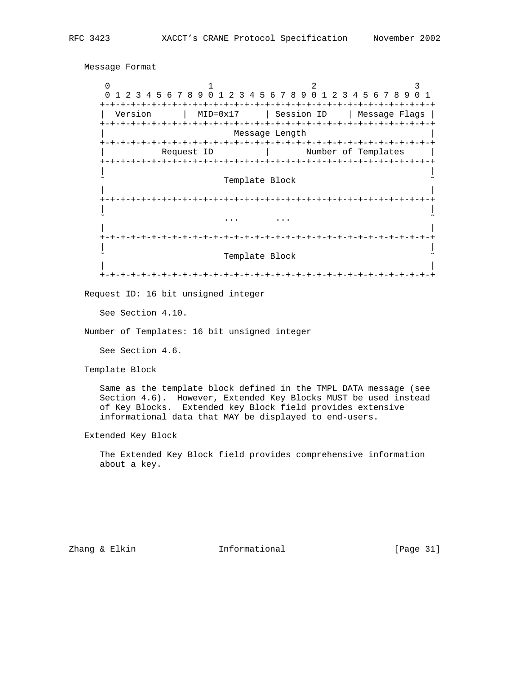```
 Message Format
0 1 2 3
      0 1 2 3 4 5 6 7 8 9 0 1 2 3 4 5 6 7 8 9 0 1 2 3 4 5 6 7 8 9 0 1
      +-+-+-+-+-+-+-+-+-+-+-+-+-+-+-+-+-+-+-+-+-+-+-+-+-+-+-+-+-+-+-+-+
       | Version | MID=0x17 | Session ID | Message Flags |
     +-+-+-+-+-+-+-+-+-+-+-+-+-+-+-+-+-+-+-+-+-+-+-+-+-+-+-+-+-+-+-+-+
                          Message Length
      +-+-+-+-+-+-+-+-+-+-+-+-+-+-+-+-+-+-+-+-+-+-+-+-+-+-+-+-+-+-+-+-+
```
Template Block

| |

+-+-+-+-+-+-+-+-+-+-+-+-+-+-+-+-+-+-+-+-+-+-+-+-+-+-+-+-+-+-+-+-+

Request ID | Number of Templates

 | | +-+-+-+-+-+-+-+-+-+-+-+-+-+-+-+-+-+-+-+-+-+-+-+-+-+-+-+-+-+-+-+-+ | | ˜ ... ... ˜ | | +-+-+-+-+-+-+-+-+-+-+-+-+-+-+-+-+-+-+-+-+-+-+-+-+-+-+-+-+-+-+-+-+ | | Template Block | |

+-+-+-+-+-+-+-+-+-+-+-+-+-+-+-+-+-+-+-+-+-+-+-+-+-+-+-+-+-+-+-+-+

Request ID: 16 bit unsigned integer

See Section 4.10.

Number of Templates: 16 bit unsigned integer

See Section 4.6.

Template Block

 Same as the template block defined in the TMPL DATA message (see Section 4.6). However, Extended Key Blocks MUST be used instead of Key Blocks. Extended key Block field provides extensive informational data that MAY be displayed to end-users.

Extended Key Block

 The Extended Key Block field provides comprehensive information about a key.

Zhang & Elkin **Informational** [Page 31]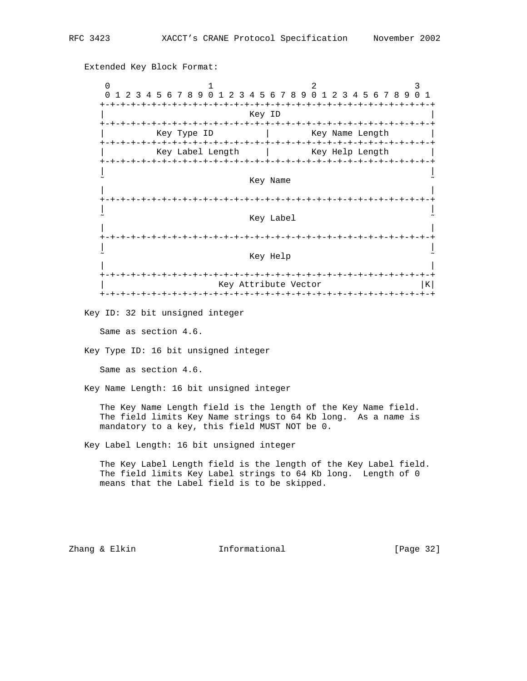Extended Key Block Format:

0  $1$  2 3 0 1 2 3 4 5 6 7 8 9 0 1 2 3 4 5 6 7 8 9 0 1 2 3 4 5 6 7 8 9 0 1 +-+-+-+-+-+-+-+-+-+-+-+-+-+-+-+-+-+-+-+-+-+-+-+-+-+-+-+-+-+-+-+-+ | Key ID | +-+-+-+-+-+-+-+-+-+-+-+-+-+-+-+-+-+-+-+-+-+-+-+-+-+-+-+-+-+-+-+-+ Key Type ID | Key Name Length +-+-+-+-+-+-+-+-+-+-+-+-+-+-+-+-+-+-+-+-+-+-+-+-+-+-+-+-+-+-+-+-+ Key Label Length | Key Help Length +-+-+-+-+-+-+-+-+-+-+-+-+-+-+-+-+-+-+-+-+-+-+-+-+-+-+-+-+-+-+-+-+ | | Key Name | | +-+-+-+-+-+-+-+-+-+-+-+-+-+-+-+-+-+-+-+-+-+-+-+-+-+-+-+-+-+-+-+-+ | | Key Label | | +-+-+-+-+-+-+-+-+-+-+-+-+-+-+-+-+-+-+-+-+-+-+-+-+-+-+-+-+-+-+-+-+ | | Key Help | | +-+-+-+-+-+-+-+-+-+-+-+-+-+-+-+-+-+-+-+-+-+-+-+-+-+-+-+-+-+-+-+-+  $Key$  Attribute Vector  $|K|$  +-+-+-+-+-+-+-+-+-+-+-+-+-+-+-+-+-+-+-+-+-+-+-+-+-+-+-+-+-+-+-+-+ Key ID: 32 bit unsigned integer Same as section 4.6. Key Type ID: 16 bit unsigned integer Same as section 4.6. Key Name Length: 16 bit unsigned integer The Key Name Length field is the length of the Key Name field. The field limits Key Name strings to 64 Kb long. As a name is mandatory to a key, this field MUST NOT be 0. Key Label Length: 16 bit unsigned integer The Key Label Length field is the length of the Key Label field. The field limits Key Label strings to 64 Kb long. Length of 0 means that the Label field is to be skipped.

Zhang & Elkin Informational [Page 32]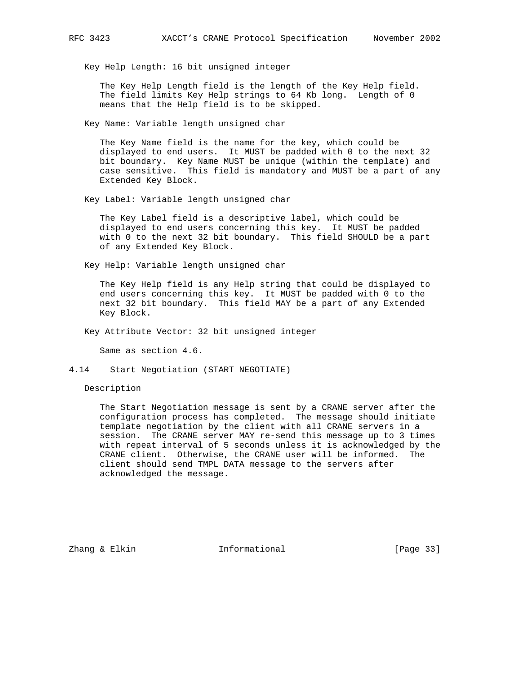Key Help Length: 16 bit unsigned integer

 The Key Help Length field is the length of the Key Help field. The field limits Key Help strings to 64 Kb long. Length of 0 means that the Help field is to be skipped.

Key Name: Variable length unsigned char

 The Key Name field is the name for the key, which could be displayed to end users. It MUST be padded with 0 to the next 32 bit boundary. Key Name MUST be unique (within the template) and case sensitive. This field is mandatory and MUST be a part of any Extended Key Block.

Key Label: Variable length unsigned char

 The Key Label field is a descriptive label, which could be displayed to end users concerning this key. It MUST be padded with 0 to the next 32 bit boundary. This field SHOULD be a part of any Extended Key Block.

Key Help: Variable length unsigned char

 The Key Help field is any Help string that could be displayed to end users concerning this key. It MUST be padded with 0 to the next 32 bit boundary. This field MAY be a part of any Extended Key Block.

Key Attribute Vector: 32 bit unsigned integer

Same as section 4.6.

4.14 Start Negotiation (START NEGOTIATE)

Description

 The Start Negotiation message is sent by a CRANE server after the configuration process has completed. The message should initiate template negotiation by the client with all CRANE servers in a session. The CRANE server MAY re-send this message up to 3 times with repeat interval of 5 seconds unless it is acknowledged by the CRANE client. Otherwise, the CRANE user will be informed. The client should send TMPL DATA message to the servers after acknowledged the message.

Zhang & Elkin Informational [Page 33]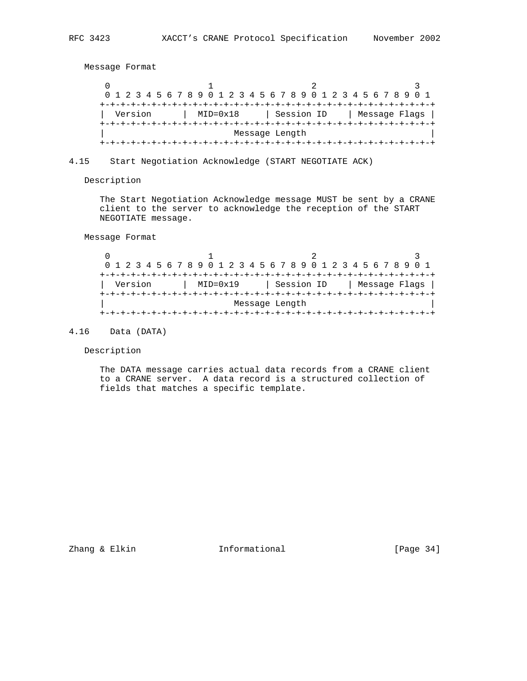Message Format

|         |                     |                | 0 1 2 3 4 5 6 7 8 9 0 1 2 3 4 5 6 7 8 9 0 1 2 3 4 5 6 7 8 9 0 1 |               |  |
|---------|---------------------|----------------|-----------------------------------------------------------------|---------------|--|
|         |                     |                |                                                                 |               |  |
| Version | $MID = 0 \times 18$ |                | Session ID                                                      | Message Flags |  |
|         |                     |                |                                                                 |               |  |
|         |                     | Message Length |                                                                 |               |  |
|         |                     |                |                                                                 |               |  |

4.15 Start Negotiation Acknowledge (START NEGOTIATE ACK)

Description

 The Start Negotiation Acknowledge message MUST be sent by a CRANE client to the server to acknowledge the reception of the START NEGOTIATE message.

Message Format

| 0 1 2 3 4 5 6 7 8 9 0 1 2 3 4 5 6 7 8 9 0 1 2 3 4 5 6 7 8 9 0 1 |         |  |  |                     |  |                |  |  |            |  |  |  |  |  |               |  |
|-----------------------------------------------------------------|---------|--|--|---------------------|--|----------------|--|--|------------|--|--|--|--|--|---------------|--|
|                                                                 |         |  |  |                     |  |                |  |  |            |  |  |  |  |  |               |  |
|                                                                 | Version |  |  | $MID = 0 \times 19$ |  |                |  |  | Session ID |  |  |  |  |  | Message Flags |  |
|                                                                 |         |  |  |                     |  |                |  |  |            |  |  |  |  |  |               |  |
|                                                                 |         |  |  |                     |  | Message Length |  |  |            |  |  |  |  |  |               |  |
|                                                                 |         |  |  |                     |  |                |  |  |            |  |  |  |  |  |               |  |

# 4.16 Data (DATA)

Description

 The DATA message carries actual data records from a CRANE client to a CRANE server. A data record is a structured collection of fields that matches a specific template.

Zhang & Elkin Informational [Page 34]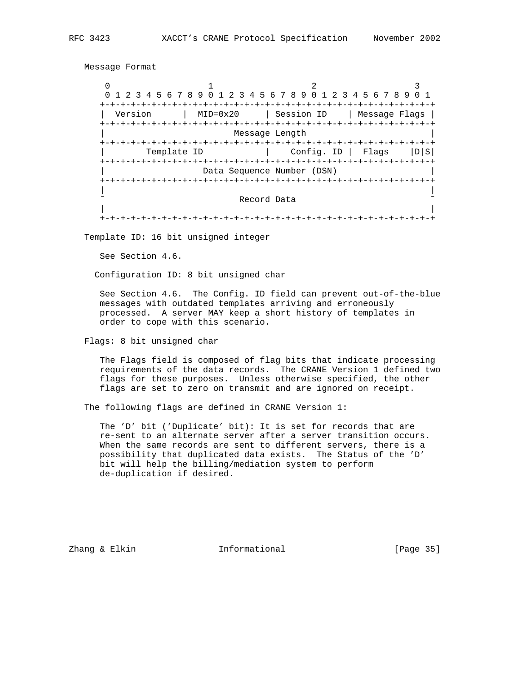Message Format

0  $1$  2 3 0 1 2 3 4 5 6 7 8 9 0 1 2 3 4 5 6 7 8 9 0 1 2 3 4 5 6 7 8 9 0 1 +-+-+-+-+-+-+-+-+-+-+-+-+-+-+-+-+-+-+-+-+-+-+-+-+-+-+-+-+-+-+-+-+ | Version | MID=0x20 | Session ID | Message Flags | +-+-+-+-+-+-+-+-+-+-+-+-+-+-+-+-+-+-+-+-+-+-+-+-+-+-+-+-+-+-+-+-+ Message Length +-+-+-+-+-+-+-+-+-+-+-+-+-+-+-+-+-+-+-+-+-+-+-+-+-+-+-+-+-+-+-+-+ Template ID | Config. ID | Flags |D|S| +-+-+-+-+-+-+-+-+-+-+-+-+-+-+-+-+-+-+-+-+-+-+-+-+-+-+-+-+-+-+-+-+ Data Sequence Number (DSN) +-+-+-+-+-+-+-+-+-+-+-+-+-+-+-+-+-+-+-+-+-+-+-+-+-+-+-+-+-+-+-+-+ | | Record Data | | +-+-+-+-+-+-+-+-+-+-+-+-+-+-+-+-+-+-+-+-+-+-+-+-+-+-+-+-+-+-+-+-+

Template ID: 16 bit unsigned integer

See Section 4.6.

Configuration ID: 8 bit unsigned char

 See Section 4.6. The Config. ID field can prevent out-of-the-blue messages with outdated templates arriving and erroneously processed. A server MAY keep a short history of templates in order to cope with this scenario.

Flags: 8 bit unsigned char

 The Flags field is composed of flag bits that indicate processing requirements of the data records. The CRANE Version 1 defined two flags for these purposes. Unless otherwise specified, the other flags are set to zero on transmit and are ignored on receipt.

The following flags are defined in CRANE Version 1:

 The 'D' bit ('Duplicate' bit): It is set for records that are re-sent to an alternate server after a server transition occurs. When the same records are sent to different servers, there is a possibility that duplicated data exists. The Status of the 'D' bit will help the billing/mediation system to perform de-duplication if desired.

Zhang & Elkin **Informational** [Page 35]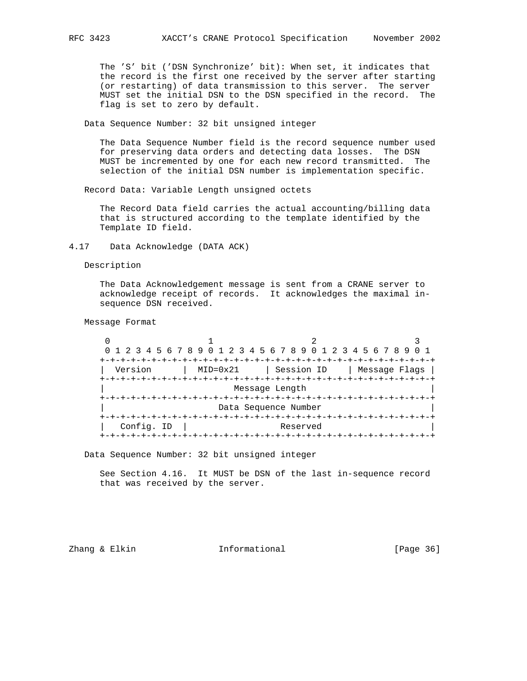The 'S' bit ('DSN Synchronize' bit): When set, it indicates that the record is the first one received by the server after starting (or restarting) of data transmission to this server. The server MUST set the initial DSN to the DSN specified in the record. The flag is set to zero by default.

Data Sequence Number: 32 bit unsigned integer

 The Data Sequence Number field is the record sequence number used for preserving data orders and detecting data losses. The DSN MUST be incremented by one for each new record transmitted. The selection of the initial DSN number is implementation specific.

Record Data: Variable Length unsigned octets

 The Record Data field carries the actual accounting/billing data that is structured according to the template identified by the Template ID field.

4.17 Data Acknowledge (DATA ACK)

Description

 The Data Acknowledgement message is sent from a CRANE server to acknowledge receipt of records. It acknowledges the maximal in sequence DSN received.

Message Format

|            | 0 1 2 3 4 5 6 7 8 9 0 1 2 3 4 5 6 7 8 9 0 1 2 3 4 5 6 7 8 9 |                      |               |
|------------|-------------------------------------------------------------|----------------------|---------------|
|            |                                                             |                      |               |
| Version    | $MID = 0 \times 21$                                         | Session ID           | Message Flags |
|            |                                                             |                      |               |
|            |                                                             | Message Length       |               |
|            |                                                             |                      |               |
|            |                                                             | Data Sequence Number |               |
|            |                                                             |                      |               |
| Config. ID |                                                             | Reserved             |               |
|            |                                                             |                      |               |

Data Sequence Number: 32 bit unsigned integer

 See Section 4.16. It MUST be DSN of the last in-sequence record that was received by the server.

Zhang & Elkin **Informational** [Page 36]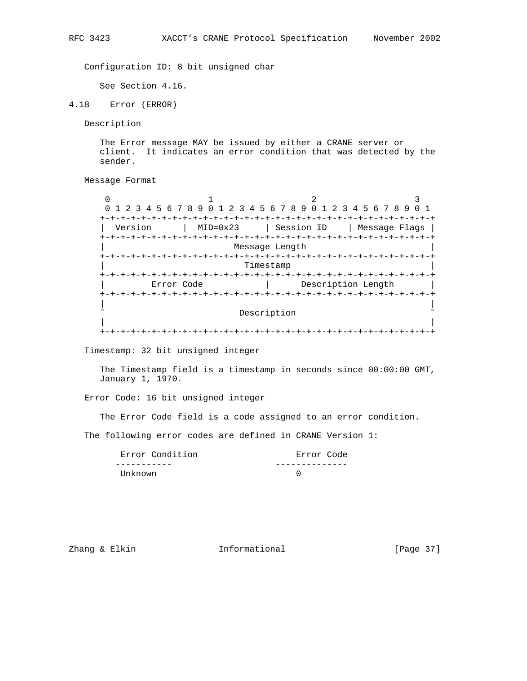Configuration ID: 8 bit unsigned char

See Section 4.16.

4.18 Error (ERROR)

Description

 The Error message MAY be issued by either a CRANE server or client. It indicates an error condition that was detected by the sender.

Message Format

0  $1$  2 3 0 1 2 3 4 5 6 7 8 9 0 1 2 3 4 5 6 7 8 9 0 1 2 3 4 5 6 7 8 9 0 1 +-+-+-+-+-+-+-+-+-+-+-+-+-+-+-+-+-+-+-+-+-+-+-+-+-+-+-+-+-+-+-+-+ | Version | MID=0x23 | Session ID | Message Flags | +-+-+-+-+-+-+-+-+-+-+-+-+-+-+-+-+-+-+-+-+-+-+-+-+-+-+-+-+-+-+-+-+ Message Length +-+-+-+-+-+-+-+-+-+-+-+-+-+-+-+-+-+-+-+-+-+-+-+-+-+-+-+-+-+-+-+-+ Timestamp +-+-+-+-+-+-+-+-+-+-+-+-+-+-+-+-+-+-+-+-+-+-+-+-+-+-+-+-+-+-+-+-+ Error Code  $|$  Description Length +-+-+-+-+-+-+-+-+-+-+-+-+-+-+-+-+-+-+-+-+-+-+-+-+-+-+-+-+-+-+-+-+ | | Description | | +-+-+-+-+-+-+-+-+-+-+-+-+-+-+-+-+-+-+-+-+-+-+-+-+-+-+-+-+-+-+-+-+

Timestamp: 32 bit unsigned integer

 The Timestamp field is a timestamp in seconds since 00:00:00 GMT, January 1, 1970.

Error Code: 16 bit unsigned integer

The Error Code field is a code assigned to an error condition.

The following error codes are defined in CRANE Version 1:

| Error Condition | Error Code |
|-----------------|------------|
|                 |            |
| Unknown         |            |

Zhang & Elkin **Informational** [Page 37]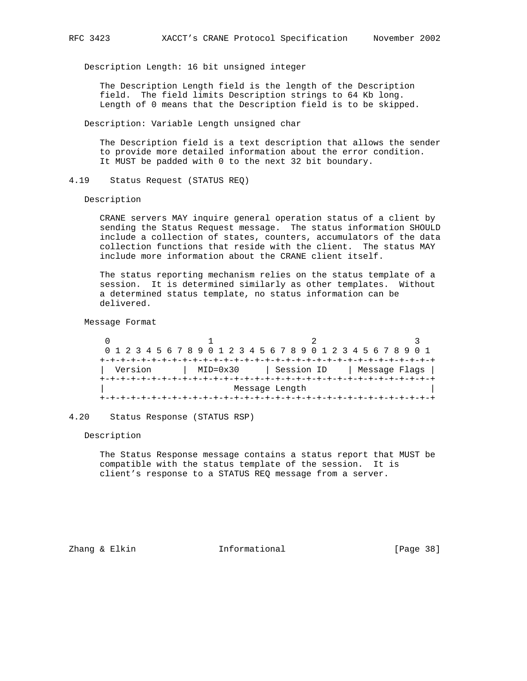Description Length: 16 bit unsigned integer

 The Description Length field is the length of the Description field. The field limits Description strings to 64 Kb long. Length of 0 means that the Description field is to be skipped.

Description: Variable Length unsigned char

 The Description field is a text description that allows the sender to provide more detailed information about the error condition. It MUST be padded with 0 to the next 32 bit boundary.

4.19 Status Request (STATUS REQ)

Description

 CRANE servers MAY inquire general operation status of a client by sending the Status Request message. The status information SHOULD include a collection of states, counters, accumulators of the data collection functions that reside with the client. The status MAY include more information about the CRANE client itself.

 The status reporting mechanism relies on the status template of a session. It is determined similarly as other templates. Without a determined status template, no status information can be delivered.

Message Format

0  $1$  2 3 0 1 2 3 4 5 6 7 8 9 0 1 2 3 4 5 6 7 8 9 0 1 2 3 4 5 6 7 8 9 0 1 +-+-+-+-+-+-+-+-+-+-+-+-+-+-+-+-+-+-+-+-+-+-+-+-+-+-+-+-+-+-+-+-+ | Version | MID=0x30 | Session ID | Message Flags | +-+-+-+-+-+-+-+-+-+-+-+-+-+-+-+-+-+-+-+-+-+-+-+-+-+-+-+-+-+-+-+-+ Message Length +-+-+-+-+-+-+-+-+-+-+-+-+-+-+-+-+-+-+-+-+-+-+-+-+-+-+-+-+-+-+-+-+

#### 4.20 Status Response (STATUS RSP)

Description

 The Status Response message contains a status report that MUST be compatible with the status template of the session. It is client's response to a STATUS REQ message from a server.

Zhang & Elkin **Informational** [Page 38]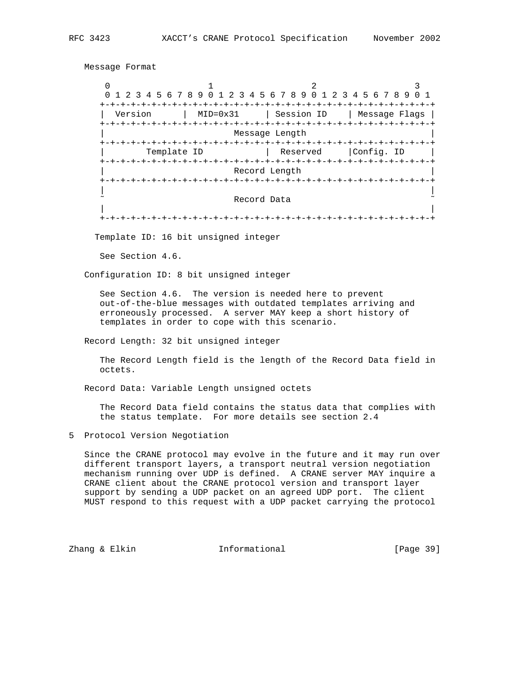Message Format

0  $1$  2 3 0 1 2 3 4 5 6 7 8 9 0 1 2 3 4 5 6 7 8 9 0 1 2 3 4 5 6 7 8 9 0 1 +-+-+-+-+-+-+-+-+-+-+-+-+-+-+-+-+-+-+-+-+-+-+-+-+-+-+-+-+-+-+-+-+ | Version | MID=0x31 | Session ID | Message Flags | +-+-+-+-+-+-+-+-+-+-+-+-+-+-+-+-+-+-+-+-+-+-+-+-+-+-+-+-+-+-+-+-+ Message Length +-+-+-+-+-+-+-+-+-+-+-+-+-+-+-+-+-+-+-+-+-+-+-+-+-+-+-+-+-+-+-+-+ Template ID | Reserved | Config. ID | +-+-+-+-+-+-+-+-+-+-+-+-+-+-+-+-+-+-+-+-+-+-+-+-+-+-+-+-+-+-+-+-+ Record Length +-+-+-+-+-+-+-+-+-+-+-+-+-+-+-+-+-+-+-+-+-+-+-+-+-+-+-+-+-+-+-+-+ | | Record Data | | +-+-+-+-+-+-+-+-+-+-+-+-+-+-+-+-+-+-+-+-+-+-+-+-+-+-+-+-+-+-+-+-+

Template ID: 16 bit unsigned integer

See Section 4.6.

Configuration ID: 8 bit unsigned integer

 See Section 4.6. The version is needed here to prevent out-of-the-blue messages with outdated templates arriving and erroneously processed. A server MAY keep a short history of templates in order to cope with this scenario.

Record Length: 32 bit unsigned integer

 The Record Length field is the length of the Record Data field in octets.

Record Data: Variable Length unsigned octets

 The Record Data field contains the status data that complies with the status template. For more details see section 2.4

5 Protocol Version Negotiation

 Since the CRANE protocol may evolve in the future and it may run over different transport layers, a transport neutral version negotiation mechanism running over UDP is defined. A CRANE server MAY inquire a CRANE client about the CRANE protocol version and transport layer support by sending a UDP packet on an agreed UDP port. The client MUST respond to this request with a UDP packet carrying the protocol

Zhang & Elkin **Informational** [Page 39]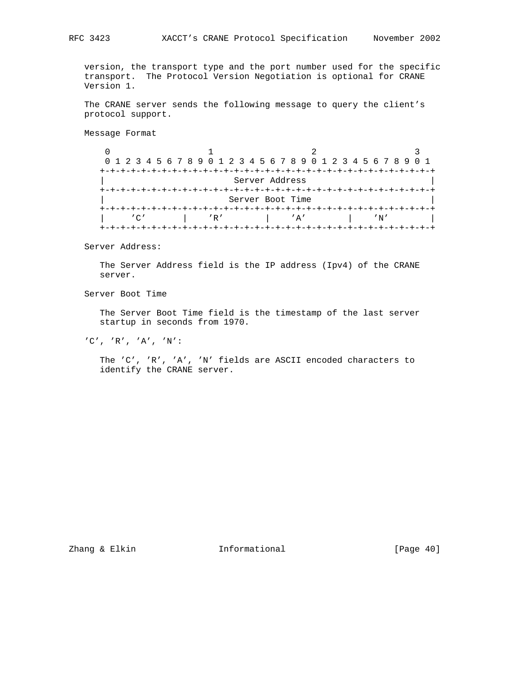version, the transport type and the port number used for the specific transport. The Protocol Version Negotiation is optional for CRANE Version 1.

 The CRANE server sends the following message to query the client's protocol support.

Message Format

 $\begin{array}{ccccccc}\n0 & & & 1 & & & 2 & & 3\n\end{array}$  0 1 2 3 4 5 6 7 8 9 0 1 2 3 4 5 6 7 8 9 0 1 2 3 4 5 6 7 8 9 0 1 +-+-+-+-+-+-+-+-+-+-+-+-+-+-+-+-+-+-+-+-+-+-+-+-+-+-+-+-+-+-+-+-+ | Server Address | +-+-+-+-+-+-+-+-+-+-+-+-+-+-+-+-+-+-+-+-+-+-+-+-+-+-+-+-+-+-+-+-+ Server Boot Time +-+-+-+-+-+-+-+-+-+-+-+-+-+-+-+-+-+-+-+-+-+-+-+-+-+-+-+-+-+-+-+-+ | 'C' | 'R' | 'A' | 'N' | +-+-+-+-+-+-+-+-+-+-+-+-+-+-+-+-+-+-+-+-+-+-+-+-+-+-+-+-+-+-+-+-+

Server Address:

 The Server Address field is the IP address (Ipv4) of the CRANE server.

Server Boot Time

 The Server Boot Time field is the timestamp of the last server startup in seconds from 1970.

'C', 'R', 'A', 'N':

 The 'C', 'R', 'A', 'N' fields are ASCII encoded characters to identify the CRANE server.

Zhang & Elkin **Informational** [Page 40]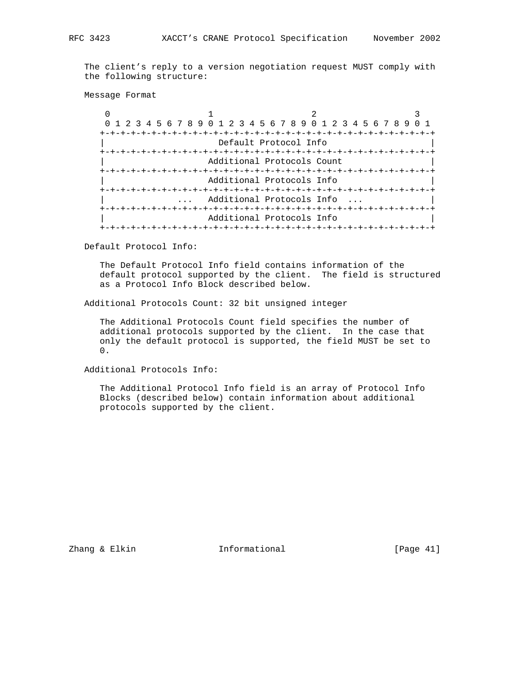The client's reply to a version negotiation request MUST comply with the following structure:

Message Format

| 0 1 2 3 4 5 6 7 8 9 0 1 2 3 4 5 6 7 8 9 0 1 2 3 4 5 6 7 8 9 |                                 |  |  |  |  |  |  |  |  |  |  |
|-------------------------------------------------------------|---------------------------------|--|--|--|--|--|--|--|--|--|--|
|                                                             |                                 |  |  |  |  |  |  |  |  |  |  |
| Default Protocol Info                                       |                                 |  |  |  |  |  |  |  |  |  |  |
|                                                             | -+-+-+-+-+-+-+-+-+-+-+-+-+      |  |  |  |  |  |  |  |  |  |  |
|                                                             | Additional Protocols Count      |  |  |  |  |  |  |  |  |  |  |
|                                                             |                                 |  |  |  |  |  |  |  |  |  |  |
|                                                             | Additional Protocols Info       |  |  |  |  |  |  |  |  |  |  |
|                                                             |                                 |  |  |  |  |  |  |  |  |  |  |
|                                                             | Additional Protocols Info       |  |  |  |  |  |  |  |  |  |  |
|                                                             |                                 |  |  |  |  |  |  |  |  |  |  |
|                                                             | Additional Protocols Info       |  |  |  |  |  |  |  |  |  |  |
|                                                             | -+-+-+-+-+-+-+-+-+-+-+-+-+-+-+- |  |  |  |  |  |  |  |  |  |  |

Default Protocol Info:

 The Default Protocol Info field contains information of the default protocol supported by the client. The field is structured as a Protocol Info Block described below.

Additional Protocols Count: 32 bit unsigned integer

 The Additional Protocols Count field specifies the number of additional protocols supported by the client. In the case that only the default protocol is supported, the field MUST be set to 0.

Additional Protocols Info:

 The Additional Protocol Info field is an array of Protocol Info Blocks (described below) contain information about additional protocols supported by the client.

Zhang & Elkin **Informational Informational** [Page 41]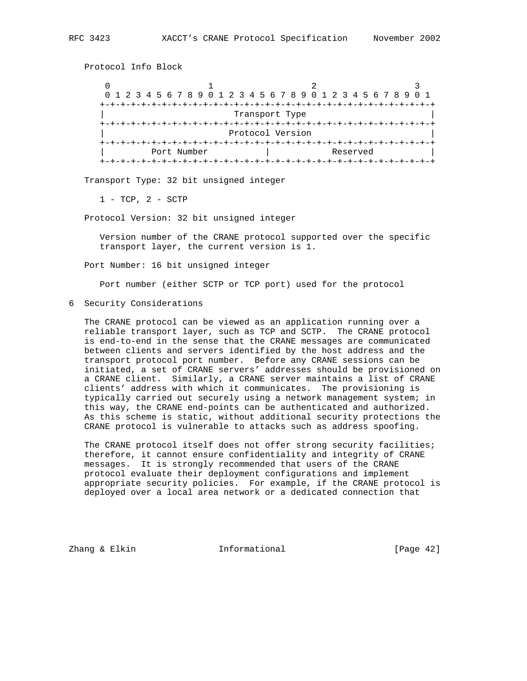| 0 1 2 3 4 5 6 7 8 9 0 1 2 3 4 5 6 7 8 9 0 1 2 3 4 5 6 7 8 9 0 1 |  |  |             |  |  |  |  |  |  |  |  |  |  |  |  |  |          |  |  |  |  |
|-----------------------------------------------------------------|--|--|-------------|--|--|--|--|--|--|--|--|--|--|--|--|--|----------|--|--|--|--|
| Transport Type                                                  |  |  |             |  |  |  |  |  |  |  |  |  |  |  |  |  |          |  |  |  |  |
| Protocol Version                                                |  |  |             |  |  |  |  |  |  |  |  |  |  |  |  |  |          |  |  |  |  |
|                                                                 |  |  | Port Number |  |  |  |  |  |  |  |  |  |  |  |  |  | Reserved |  |  |  |  |

Transport Type: 32 bit unsigned integer

1 - TCP, 2 - SCTP

Protocol Info Block

Protocol Version: 32 bit unsigned integer

 Version number of the CRANE protocol supported over the specific transport layer, the current version is 1.

Port Number: 16 bit unsigned integer

Port number (either SCTP or TCP port) used for the protocol

6 Security Considerations

 The CRANE protocol can be viewed as an application running over a reliable transport layer, such as TCP and SCTP. The CRANE protocol is end-to-end in the sense that the CRANE messages are communicated between clients and servers identified by the host address and the transport protocol port number. Before any CRANE sessions can be initiated, a set of CRANE servers' addresses should be provisioned on a CRANE client. Similarly, a CRANE server maintains a list of CRANE clients' address with which it communicates. The provisioning is typically carried out securely using a network management system; in this way, the CRANE end-points can be authenticated and authorized. As this scheme is static, without additional security protections the CRANE protocol is vulnerable to attacks such as address spoofing.

The CRANE protocol itself does not offer strong security facilities; therefore, it cannot ensure confidentiality and integrity of CRANE messages. It is strongly recommended that users of the CRANE protocol evaluate their deployment configurations and implement appropriate security policies. For example, if the CRANE protocol is deployed over a local area network or a dedicated connection that

Zhang & Elkin **Informational** [Page 42]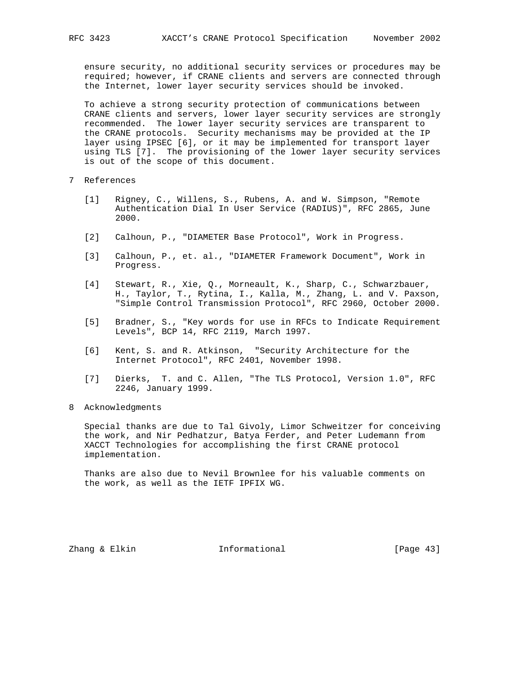ensure security, no additional security services or procedures may be required; however, if CRANE clients and servers are connected through

the Internet, lower layer security services should be invoked.

 To achieve a strong security protection of communications between CRANE clients and servers, lower layer security services are strongly recommended. The lower layer security services are transparent to the CRANE protocols. Security mechanisms may be provided at the IP layer using IPSEC [6], or it may be implemented for transport layer using TLS [7]. The provisioning of the lower layer security services is out of the scope of this document.

- 7 References
	- [1] Rigney, C., Willens, S., Rubens, A. and W. Simpson, "Remote Authentication Dial In User Service (RADIUS)", RFC 2865, June 2000.
	- [2] Calhoun, P., "DIAMETER Base Protocol", Work in Progress.
	- [3] Calhoun, P., et. al., "DIAMETER Framework Document", Work in Progress.
	- [4] Stewart, R., Xie, Q., Morneault, K., Sharp, C., Schwarzbauer, H., Taylor, T., Rytina, I., Kalla, M., Zhang, L. and V. Paxson, "Simple Control Transmission Protocol", RFC 2960, October 2000.
	- [5] Bradner, S., "Key words for use in RFCs to Indicate Requirement Levels", BCP 14, RFC 2119, March 1997.
	- [6] Kent, S. and R. Atkinson, "Security Architecture for the Internet Protocol", RFC 2401, November 1998.
	- [7] Dierks, T. and C. Allen, "The TLS Protocol, Version 1.0", RFC 2246, January 1999.
- 8 Acknowledgments

 Special thanks are due to Tal Givoly, Limor Schweitzer for conceiving the work, and Nir Pedhatzur, Batya Ferder, and Peter Ludemann from XACCT Technologies for accomplishing the first CRANE protocol implementation.

 Thanks are also due to Nevil Brownlee for his valuable comments on the work, as well as the IETF IPFIX WG.

Zhang & Elkin Informational [Page 43]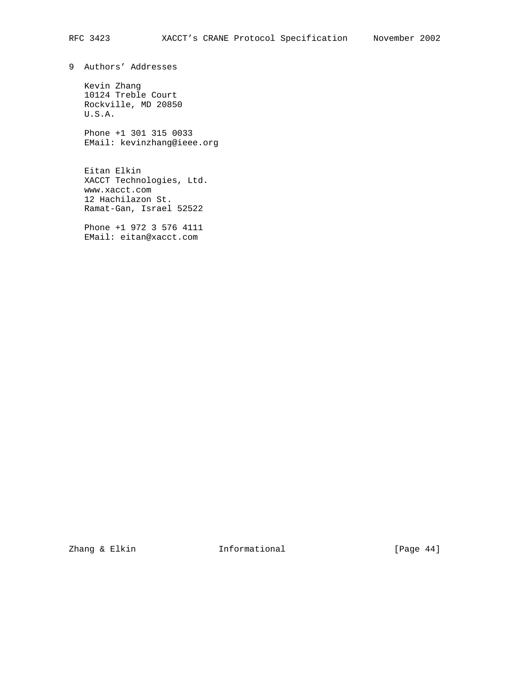9 Authors' Addresses

 Kevin Zhang 10124 Treble Court Rockville, MD 20850 U.S.A.

 Phone +1 301 315 0033 EMail: kevinzhang@ieee.org

 Eitan Elkin XACCT Technologies, Ltd. www.xacct.com 12 Hachilazon St. Ramat-Gan, Israel 52522

 Phone +1 972 3 576 4111 EMail: eitan@xacct.com

Zhang & Elkin Informational [Page 44]